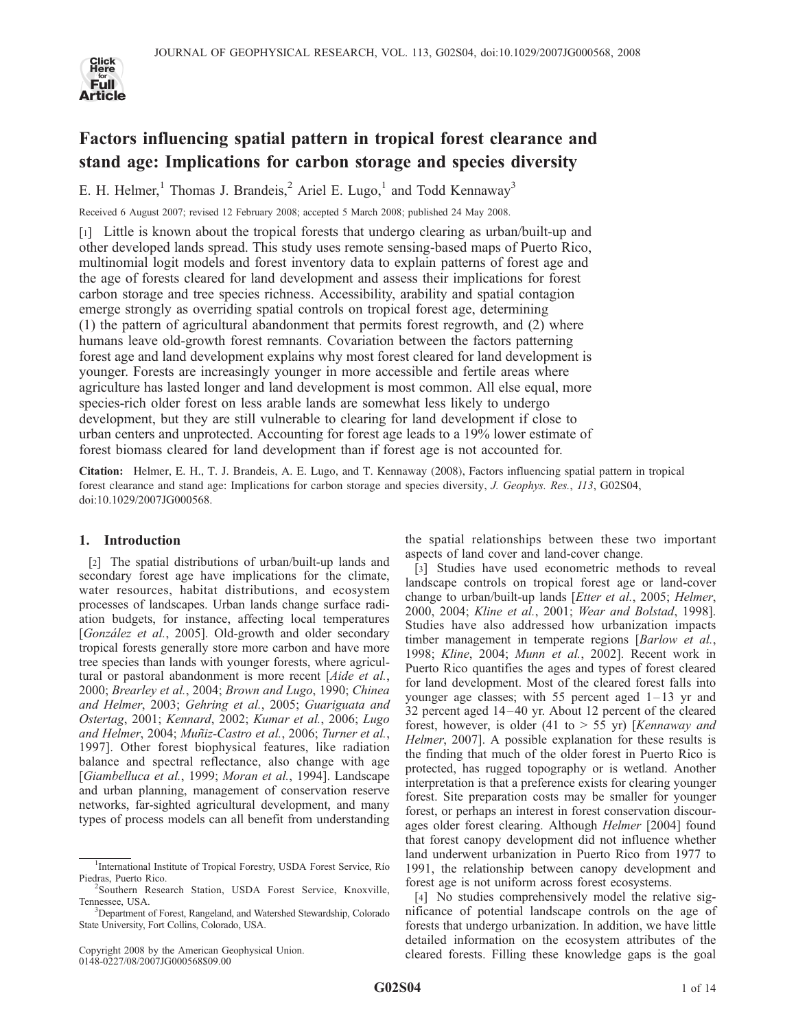

# Factors influencing spatial pattern in tropical forest clearance and stand age: Implications for carbon storage and species diversity

E. H. Helmer,<sup>1</sup> Thomas J. Brandeis,<sup>2</sup> Ariel E. Lugo,<sup>1</sup> and Todd Kennaway<sup>3</sup>

Received 6 August 2007; revised 12 February 2008; accepted 5 March 2008; published 24 May 2008.

[1] Little is known about the tropical forests that undergo clearing as urban/built-up and other developed lands spread. This study uses remote sensing-based maps of Puerto Rico, multinomial logit models and forest inventory data to explain patterns of forest age and the age of forests cleared for land development and assess their implications for forest carbon storage and tree species richness. Accessibility, arability and spatial contagion emerge strongly as overriding spatial controls on tropical forest age, determining (1) the pattern of agricultural abandonment that permits forest regrowth, and (2) where humans leave old-growth forest remnants. Covariation between the factors patterning forest age and land development explains why most forest cleared for land development is younger. Forests are increasingly younger in more accessible and fertile areas where agriculture has lasted longer and land development is most common. All else equal, more species-rich older forest on less arable lands are somewhat less likely to undergo development, but they are still vulnerable to clearing for land development if close to urban centers and unprotected. Accounting for forest age leads to a 19% lower estimate of forest biomass cleared for land development than if forest age is not accounted for.

Citation: Helmer, E. H., T. J. Brandeis, A. E. Lugo, and T. Kennaway (2008), Factors influencing spatial pattern in tropical forest clearance and stand age: Implications for carbon storage and species diversity, J. Geophys. Res., 113, G02S04, doi:10.1029/2007JG000568.

# 1. Introduction

[2] The spatial distributions of urban/built-up lands and secondary forest age have implications for the climate, water resources, habitat distributions, and ecosystem processes of landscapes. Urban lands change surface radiation budgets, for instance, affecting local temperatures [González et al., 2005]. Old-growth and older secondary tropical forests generally store more carbon and have more tree species than lands with younger forests, where agricultural or pastoral abandonment is more recent [Aide et al., 2000; Brearley et al., 2004; Brown and Lugo, 1990; Chinea and Helmer, 2003; Gehring et al., 2005; Guariguata and Ostertag, 2001; Kennard, 2002; Kumar et al., 2006; Lugo and Helmer, 2004; Muñiz-Castro et al., 2006; Turner et al., 1997]. Other forest biophysical features, like radiation balance and spectral reflectance, also change with age [Giambelluca et al., 1999; Moran et al., 1994]. Landscape and urban planning, management of conservation reserve networks, far-sighted agricultural development, and many types of process models can all benefit from understanding

the spatial relationships between these two important aspects of land cover and land-cover change.

[3] Studies have used econometric methods to reveal landscape controls on tropical forest age or land-cover change to urban/built-up lands [Etter et al., 2005; Helmer, 2000, 2004; Kline et al., 2001; Wear and Bolstad, 1998]. Studies have also addressed how urbanization impacts timber management in temperate regions [Barlow et al., 1998; Kline, 2004; Munn et al., 2002]. Recent work in Puerto Rico quantifies the ages and types of forest cleared for land development. Most of the cleared forest falls into younger age classes; with 55 percent aged  $1-13$  yr and 32 percent aged 14 – 40 yr. About 12 percent of the cleared forest, however, is older (41 to  $> 55$  yr) [Kennaway and Helmer, 2007]. A possible explanation for these results is the finding that much of the older forest in Puerto Rico is protected, has rugged topography or is wetland. Another interpretation is that a preference exists for clearing younger forest. Site preparation costs may be smaller for younger forest, or perhaps an interest in forest conservation discourages older forest clearing. Although Helmer [2004] found that forest canopy development did not influence whether land underwent urbanization in Puerto Rico from 1977 to 1991, the relationship between canopy development and forest age is not uniform across forest ecosystems.

[4] No studies comprehensively model the relative significance of potential landscape controls on the age of forests that undergo urbanization. In addition, we have little detailed information on the ecosystem attributes of the cleared forests. Filling these knowledge gaps is the goal

<sup>&</sup>lt;sup>1</sup>International Institute of Tropical Forestry, USDA Forest Service, Río Piedras, Puerto Rico.

<sup>&</sup>lt;sup>2</sup>Southern Research Station, USDA Forest Service, Knoxville, Tennessee, USA. <sup>3</sup>

<sup>&</sup>lt;sup>3</sup>Department of Forest, Rangeland, and Watershed Stewardship, Colorado State University, Fort Collins, Colorado, USA.

Copyright 2008 by the American Geophysical Union. 0148-0227/08/2007JG000568\$09.00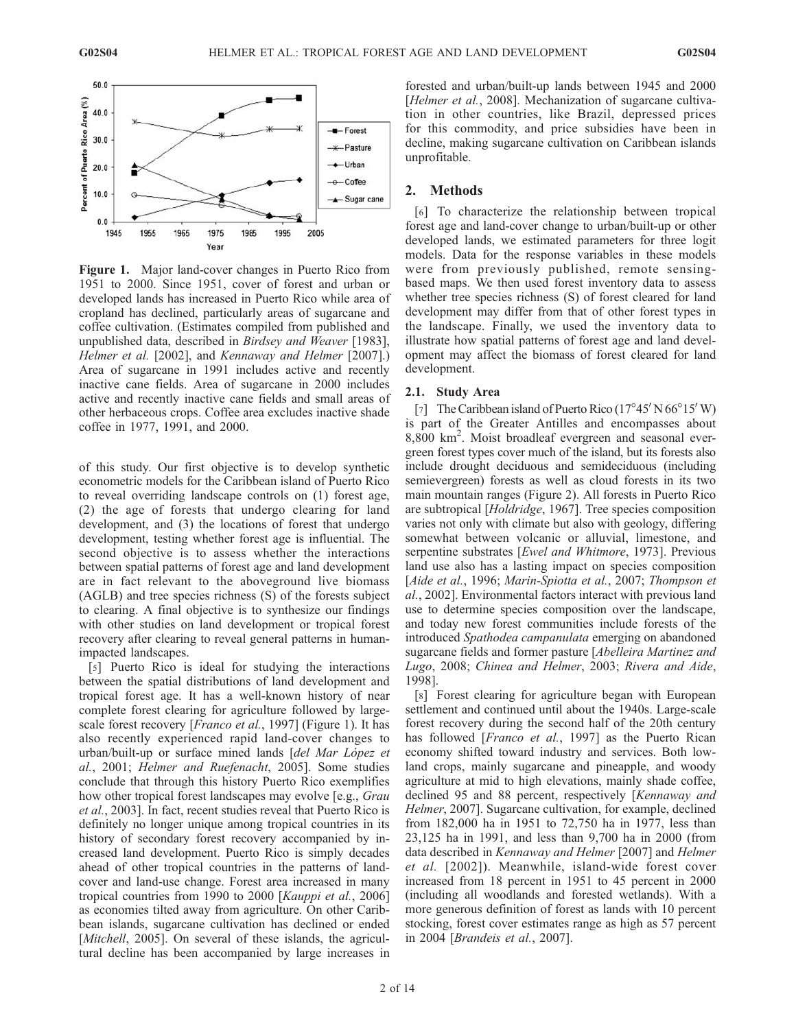

Figure 1. Major land-cover changes in Puerto Rico from 1951 to 2000. Since 1951, cover of forest and urban or developed lands has increased in Puerto Rico while area of cropland has declined, particularly areas of sugarcane and coffee cultivation. (Estimates compiled from published and unpublished data, described in Birdsey and Weaver [1983], Helmer et al. [2002], and Kennaway and Helmer [2007].) Area of sugarcane in 1991 includes active and recently inactive cane fields. Area of sugarcane in 2000 includes active and recently inactive cane fields and small areas of other herbaceous crops. Coffee area excludes inactive shade coffee in 1977, 1991, and 2000.

of this study. Our first objective is to develop synthetic econometric models for the Caribbean island of Puerto Rico to reveal overriding landscape controls on (1) forest age, (2) the age of forests that undergo clearing for land development, and (3) the locations of forest that undergo development, testing whether forest age is influential. The second objective is to assess whether the interactions between spatial patterns of forest age and land development are in fact relevant to the aboveground live biomass (AGLB) and tree species richness (S) of the forests subject to clearing. A final objective is to synthesize our findings with other studies on land development or tropical forest recovery after clearing to reveal general patterns in humanimpacted landscapes.

[5] Puerto Rico is ideal for studying the interactions between the spatial distributions of land development and tropical forest age. It has a well-known history of near complete forest clearing for agriculture followed by largescale forest recovery [*Franco et al.*, 1997] (Figure 1). It has also recently experienced rapid land-cover changes to urban/built-up or surface mined lands [del Mar López et al., 2001; Helmer and Ruefenacht, 2005]. Some studies conclude that through this history Puerto Rico exemplifies how other tropical forest landscapes may evolve [e.g., *Grau* et al., 2003]. In fact, recent studies reveal that Puerto Rico is definitely no longer unique among tropical countries in its history of secondary forest recovery accompanied by increased land development. Puerto Rico is simply decades ahead of other tropical countries in the patterns of landcover and land-use change. Forest area increased in many tropical countries from 1990 to 2000 [Kauppi et al., 2006] as economies tilted away from agriculture. On other Caribbean islands, sugarcane cultivation has declined or ended [*Mitchell*, 2005]. On several of these islands, the agricultural decline has been accompanied by large increases in

forested and urban/built-up lands between 1945 and 2000 [Helmer et al., 2008]. Mechanization of sugarcane cultivation in other countries, like Brazil, depressed prices for this commodity, and price subsidies have been in decline, making sugarcane cultivation on Caribbean islands unprofitable.

## 2. Methods

[6] To characterize the relationship between tropical forest age and land-cover change to urban/built-up or other developed lands, we estimated parameters for three logit models. Data for the response variables in these models were from previously published, remote sensingbased maps. We then used forest inventory data to assess whether tree species richness (S) of forest cleared for land development may differ from that of other forest types in the landscape. Finally, we used the inventory data to illustrate how spatial patterns of forest age and land development may affect the biomass of forest cleared for land development.

#### 2.1. Study Area

[7] The Caribbean island of Puerto Rico  $(17^{\circ}45' N 66^{\circ}15' W)$ is part of the Greater Antilles and encompasses about 8,800 km<sup>2</sup> . Moist broadleaf evergreen and seasonal evergreen forest types cover much of the island, but its forests also include drought deciduous and semideciduous (including semievergreen) forests as well as cloud forests in its two main mountain ranges (Figure 2). All forests in Puerto Rico are subtropical [Holdridge, 1967]. Tree species composition varies not only with climate but also with geology, differing somewhat between volcanic or alluvial, limestone, and serpentine substrates [*Ewel and Whitmore*, 1973]. Previous land use also has a lasting impact on species composition [Aide et al., 1996; Marin-Spiotta et al., 2007; Thompson et al., 2002]. Environmental factors interact with previous land use to determine species composition over the landscape, and today new forest communities include forests of the introduced Spathodea campanulata emerging on abandoned sugarcane fields and former pasture [Abelleira Martinez and Lugo, 2008; Chinea and Helmer, 2003; Rivera and Aide, 1998].

[8] Forest clearing for agriculture began with European settlement and continued until about the 1940s. Large-scale forest recovery during the second half of the 20th century has followed [*Franco et al.*, 1997] as the Puerto Rican economy shifted toward industry and services. Both lowland crops, mainly sugarcane and pineapple, and woody agriculture at mid to high elevations, mainly shade coffee, declined 95 and 88 percent, respectively [Kennaway and Helmer, 2007]. Sugarcane cultivation, for example, declined from 182,000 ha in 1951 to 72,750 ha in 1977, less than 23,125 ha in 1991, and less than 9,700 ha in 2000 (from data described in Kennaway and Helmer [2007] and Helmer et al. [2002]). Meanwhile, island-wide forest cover increased from 18 percent in 1951 to 45 percent in 2000 (including all woodlands and forested wetlands). With a more generous definition of forest as lands with 10 percent stocking, forest cover estimates range as high as 57 percent in 2004 [Brandeis et al., 2007].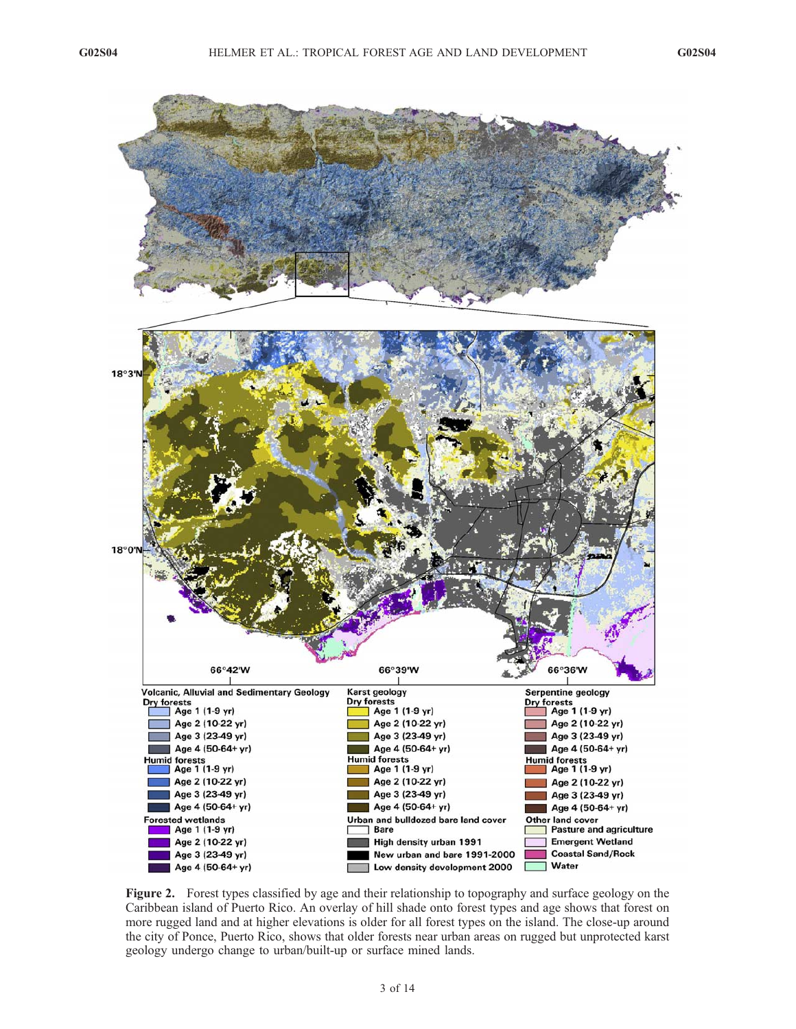

Figure 2. Forest types classified by age and their relationship to topography and surface geology on the Caribbean island of Puerto Rico. An overlay of hill shade onto forest types and age shows that forest on more rugged land and at higher elevations is older for all forest types on the island. The close-up around the city of Ponce, Puerto Rico, shows that older forests near urban areas on rugged but unprotected karst geology undergo change to urban/built-up or surface mined lands.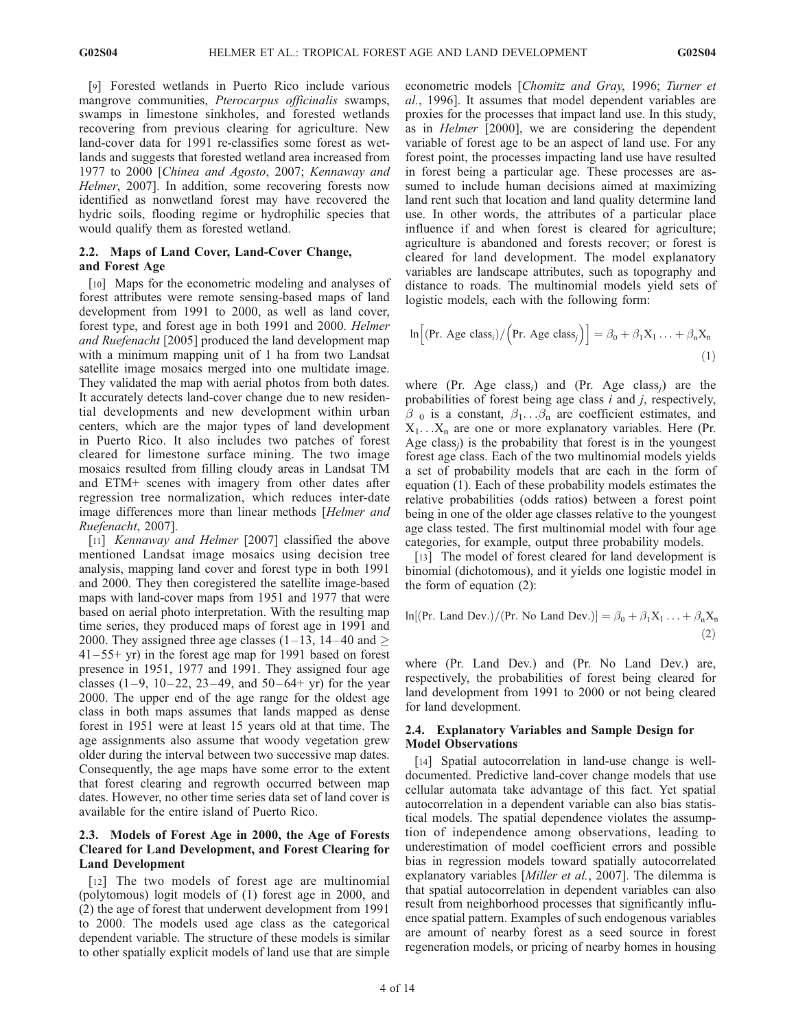[9] Forested wetlands in Puerto Rico include various mangrove communities, Pterocarpus officinalis swamps, swamps in limestone sinkholes, and forested wetlands recovering from previous clearing for agriculture. New land-cover data for 1991 re-classifies some forest as wetlands and suggests that forested wetland area increased from 1977 to 2000 [Chinea and Agosto, 2007; Kennaway and Helmer, 2007]. In addition, some recovering forests now identified as nonwetland forest may have recovered the hydric soils, flooding regime or hydrophilic species that would qualify them as forested wetland.

## 2.2. Maps of Land Cover, Land-Cover Change, and Forest Age

[10] Maps for the econometric modeling and analyses of forest attributes were remote sensing-based maps of land development from 1991 to 2000, as well as land cover, forest type, and forest age in both 1991 and 2000. Helmer and Ruefenacht [2005] produced the land development map with a minimum mapping unit of 1 ha from two Landsat satellite image mosaics merged into one multidate image. They validated the map with aerial photos from both dates. It accurately detects land-cover change due to new residential developments and new development within urban centers, which are the major types of land development in Puerto Rico. It also includes two patches of forest cleared for limestone surface mining. The two image mosaics resulted from filling cloudy areas in Landsat TM and ETM+ scenes with imagery from other dates after regression tree normalization, which reduces inter-date image differences more than linear methods [Helmer and Ruefenacht, 2007].

[11] *Kennaway and Helmer* [2007] classified the above mentioned Landsat image mosaics using decision tree analysis, mapping land cover and forest type in both 1991 and 2000. They then coregistered the satellite image-based maps with land-cover maps from 1951 and 1977 that were based on aerial photo interpretation. With the resulting map time series, they produced maps of forest age in 1991 and 2000. They assigned three age classes (1–13, 14–40 and  $\geq$  $41 - 55 + yr$ ) in the forest age map for 1991 based on forest presence in 1951, 1977 and 1991. They assigned four age classes  $(1-9, 10-22, 23-49, \text{ and } 50-64+ \text{ yr})$  for the year 2000. The upper end of the age range for the oldest age class in both maps assumes that lands mapped as dense forest in 1951 were at least 15 years old at that time. The age assignments also assume that woody vegetation grew older during the interval between two successive map dates. Consequently, the age maps have some error to the extent that forest clearing and regrowth occurred between map dates. However, no other time series data set of land cover is available for the entire island of Puerto Rico.

# 2.3. Models of Forest Age in 2000, the Age of Forests Cleared for Land Development, and Forest Clearing for Land Development

[12] The two models of forest age are multinomial (polytomous) logit models of (1) forest age in 2000, and (2) the age of forest that underwent development from 1991 to 2000. The models used age class as the categorical dependent variable. The structure of these models is similar to other spatially explicit models of land use that are simple econometric models [Chomitz and Gray, 1996; Turner et al., 1996]. It assumes that model dependent variables are proxies for the processes that impact land use. In this study, as in Helmer [2000], we are considering the dependent variable of forest age to be an aspect of land use. For any forest point, the processes impacting land use have resulted in forest being a particular age. These processes are assumed to include human decisions aimed at maximizing land rent such that location and land quality determine land use. In other words, the attributes of a particular place influence if and when forest is cleared for agriculture; agriculture is abandoned and forests recover; or forest is cleared for land development. The model explanatory variables are landscape attributes, such as topography and distance to roads. The multinomial models yield sets of logistic models, each with the following form:

$$
\ln\Big[(\Pr.\text{ Age class}_i) / (\Pr.\text{Age class}_j)\Big] = \beta_0 + \beta_1 X_1 \dots + \beta_n X_n \tag{1}
$$

where (Pr. Age class<sub>i</sub>) and (Pr. Age class<sub>i</sub>) are the probabilities of forest being age class  $i$  and  $j$ , respectively,  $\beta_0$  is a constant,  $\beta_1$ ... $\beta_n$  are coefficient estimates, and  $X_1 \ldots X_n$  are one or more explanatory variables. Here (Pr. Age class $_{i}$ ) is the probability that forest is in the youngest forest age class. Each of the two multinomial models yields a set of probability models that are each in the form of equation (1). Each of these probability models estimates the relative probabilities (odds ratios) between a forest point being in one of the older age classes relative to the youngest age class tested. The first multinomial model with four age categories, for example, output three probability models.

[13] The model of forest cleared for land development is binomial (dichotomous), and it yields one logistic model in the form of equation (2):

$$
\ln[(\text{Pr. Land Dev.})/(\text{Pr. No Land Dev.})] = \beta_0 + \beta_1 X_1 \dots + \beta_n X_n
$$
\n(2)

where (Pr. Land Dev.) and (Pr. No Land Dev.) are, respectively, the probabilities of forest being cleared for land development from 1991 to 2000 or not being cleared for land development.

# 2.4. Explanatory Variables and Sample Design for Model Observations

[14] Spatial autocorrelation in land-use change is welldocumented. Predictive land-cover change models that use cellular automata take advantage of this fact. Yet spatial autocorrelation in a dependent variable can also bias statistical models. The spatial dependence violates the assumption of independence among observations, leading to underestimation of model coefficient errors and possible bias in regression models toward spatially autocorrelated explanatory variables [Miller et al., 2007]. The dilemma is that spatial autocorrelation in dependent variables can also result from neighborhood processes that significantly influence spatial pattern. Examples of such endogenous variables are amount of nearby forest as a seed source in forest regeneration models, or pricing of nearby homes in housing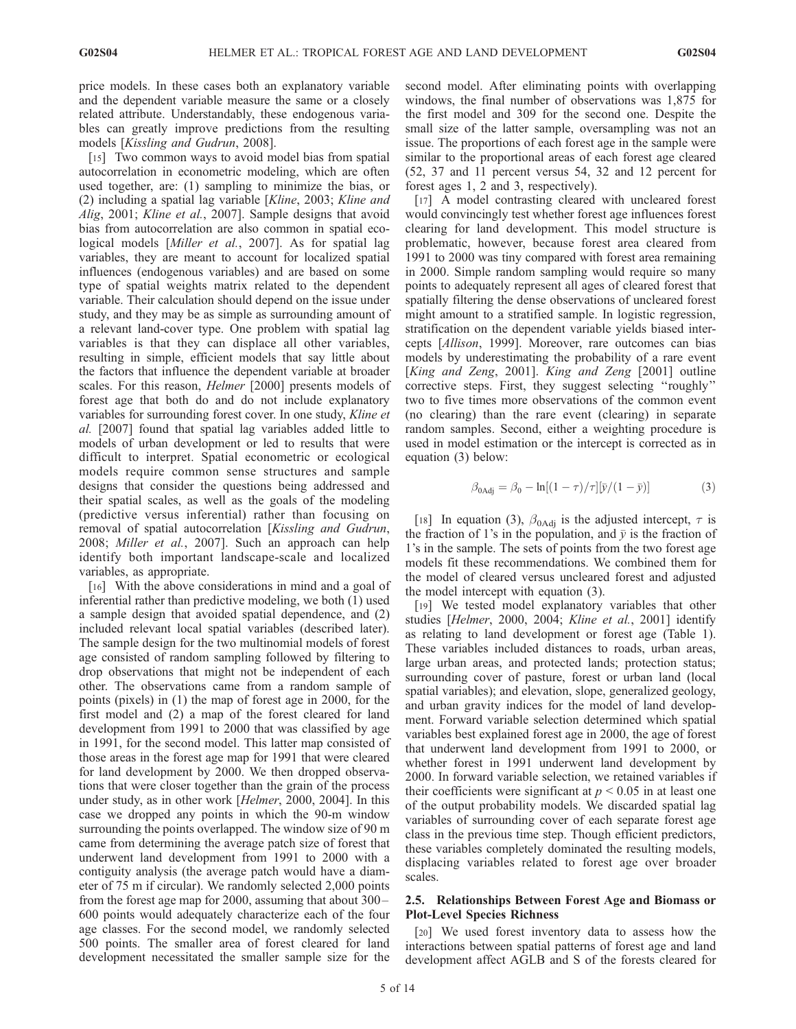price models. In these cases both an explanatory variable and the dependent variable measure the same or a closely related attribute. Understandably, these endogenous variables can greatly improve predictions from the resulting models [Kissling and Gudrun, 2008].

[15] Two common ways to avoid model bias from spatial autocorrelation in econometric modeling, which are often used together, are: (1) sampling to minimize the bias, or (2) including a spatial lag variable [Kline, 2003; Kline and Alig, 2001; Kline et al., 2007]. Sample designs that avoid bias from autocorrelation are also common in spatial ecological models [Miller et al., 2007]. As for spatial lag variables, they are meant to account for localized spatial influences (endogenous variables) and are based on some type of spatial weights matrix related to the dependent variable. Their calculation should depend on the issue under study, and they may be as simple as surrounding amount of a relevant land-cover type. One problem with spatial lag variables is that they can displace all other variables, resulting in simple, efficient models that say little about the factors that influence the dependent variable at broader scales. For this reason, *Helmer* [2000] presents models of forest age that both do and do not include explanatory variables for surrounding forest cover. In one study, Kline et al. [2007] found that spatial lag variables added little to models of urban development or led to results that were difficult to interpret. Spatial econometric or ecological models require common sense structures and sample designs that consider the questions being addressed and their spatial scales, as well as the goals of the modeling (predictive versus inferential) rather than focusing on removal of spatial autocorrelation [Kissling and Gudrun, 2008; Miller et al., 2007]. Such an approach can help identify both important landscape-scale and localized variables, as appropriate.

[16] With the above considerations in mind and a goal of inferential rather than predictive modeling, we both (1) used a sample design that avoided spatial dependence, and (2) included relevant local spatial variables (described later). The sample design for the two multinomial models of forest age consisted of random sampling followed by filtering to drop observations that might not be independent of each other. The observations came from a random sample of points (pixels) in (1) the map of forest age in 2000, for the first model and (2) a map of the forest cleared for land development from 1991 to 2000 that was classified by age in 1991, for the second model. This latter map consisted of those areas in the forest age map for 1991 that were cleared for land development by 2000. We then dropped observations that were closer together than the grain of the process under study, as in other work [Helmer, 2000, 2004]. In this case we dropped any points in which the 90-m window surrounding the points overlapped. The window size of 90 m came from determining the average patch size of forest that underwent land development from 1991 to 2000 with a contiguity analysis (the average patch would have a diameter of 75 m if circular). We randomly selected 2,000 points from the forest age map for 2000, assuming that about 300 – 600 points would adequately characterize each of the four age classes. For the second model, we randomly selected 500 points. The smaller area of forest cleared for land development necessitated the smaller sample size for the

second model. After eliminating points with overlapping windows, the final number of observations was 1,875 for the first model and 309 for the second one. Despite the small size of the latter sample, oversampling was not an issue. The proportions of each forest age in the sample were similar to the proportional areas of each forest age cleared (52, 37 and 11 percent versus 54, 32 and 12 percent for forest ages 1, 2 and 3, respectively).

[17] A model contrasting cleared with uncleared forest would convincingly test whether forest age influences forest clearing for land development. This model structure is problematic, however, because forest area cleared from 1991 to 2000 was tiny compared with forest area remaining in 2000. Simple random sampling would require so many points to adequately represent all ages of cleared forest that spatially filtering the dense observations of uncleared forest might amount to a stratified sample. In logistic regression, stratification on the dependent variable yields biased intercepts [Allison, 1999]. Moreover, rare outcomes can bias models by underestimating the probability of a rare event [King and Zeng, 2001]. King and Zeng [2001] outline corrective steps. First, they suggest selecting ''roughly'' two to five times more observations of the common event (no clearing) than the rare event (clearing) in separate random samples. Second, either a weighting procedure is used in model estimation or the intercept is corrected as in equation (3) below:

$$
\beta_{0\text{Adj}} = \beta_0 - \ln[(1-\tau)/\tau][\bar{y}/(1-\bar{y})] \tag{3}
$$

[18] In equation (3),  $\beta_{0\text{Adj}}$  is the adjusted intercept,  $\tau$  is the fraction of 1's in the population, and  $\bar{y}$  is the fraction of 1's in the sample. The sets of points from the two forest age models fit these recommendations. We combined them for the model of cleared versus uncleared forest and adjusted the model intercept with equation (3).

[19] We tested model explanatory variables that other studies [Helmer, 2000, 2004; Kline et al., 2001] identify as relating to land development or forest age (Table 1). These variables included distances to roads, urban areas, large urban areas, and protected lands; protection status; surrounding cover of pasture, forest or urban land (local spatial variables); and elevation, slope, generalized geology, and urban gravity indices for the model of land development. Forward variable selection determined which spatial variables best explained forest age in 2000, the age of forest that underwent land development from 1991 to 2000, or whether forest in 1991 underwent land development by 2000. In forward variable selection, we retained variables if their coefficients were significant at  $p \leq 0.05$  in at least one of the output probability models. We discarded spatial lag variables of surrounding cover of each separate forest age class in the previous time step. Though efficient predictors, these variables completely dominated the resulting models, displacing variables related to forest age over broader scales.

# 2.5. Relationships Between Forest Age and Biomass or Plot-Level Species Richness

[20] We used forest inventory data to assess how the interactions between spatial patterns of forest age and land development affect AGLB and S of the forests cleared for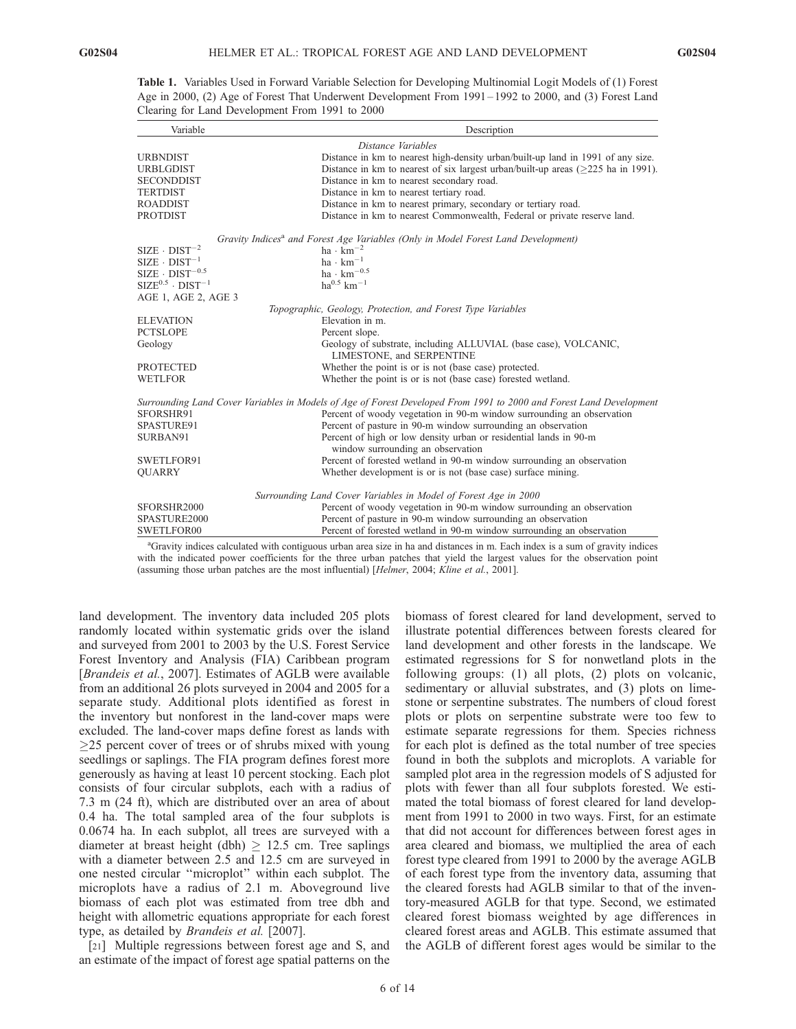| Variable                                                                                                                                              | Description                                                                                                         |
|-------------------------------------------------------------------------------------------------------------------------------------------------------|---------------------------------------------------------------------------------------------------------------------|
|                                                                                                                                                       | Distance Variables                                                                                                  |
| <b>URBNDIST</b>                                                                                                                                       | Distance in km to nearest high-density urban/built-up land in 1991 of any size.                                     |
| <b>URBLGDIST</b>                                                                                                                                      | Distance in km to nearest of six largest urban/built-up areas $($ >225 ha in 1991).                                 |
| <b>SECONDDIST</b>                                                                                                                                     | Distance in km to nearest secondary road.                                                                           |
| <b>TERTDIST</b>                                                                                                                                       | Distance in km to nearest tertiary road.                                                                            |
| <b>ROADDIST</b>                                                                                                                                       | Distance in km to nearest primary, secondary or tertiary road.                                                      |
| <b>PROTDIST</b>                                                                                                                                       | Distance in km to nearest Commonwealth, Federal or private reserve land.                                            |
|                                                                                                                                                       | Gravity Indices <sup>a</sup> and Forest Age Variables (Only in Model Forest Land Development)                       |
| $SIZE \cdot DIST^{-2}$                                                                                                                                | $ha \cdot km^{-2}$                                                                                                  |
| $\begin{array}{l} \text{SIZE} \cdot \text{DIST}^{-1} \\ \text{SIZE} \cdot \text{DIST}^{-0.5} \\ \text{SIZE}^{0.5} \cdot \text{DIST}^{-1} \end{array}$ | $ha \cdot km^{-1}$                                                                                                  |
|                                                                                                                                                       | $ha_{.} \cdot km^{-0.5}$                                                                                            |
|                                                                                                                                                       | $\mathrm{ha}^{0.5}$ $\mathrm{km}^{-1}$                                                                              |
| AGE 1, AGE 2, AGE 3                                                                                                                                   |                                                                                                                     |
|                                                                                                                                                       | Topographic, Geology, Protection, and Forest Type Variables                                                         |
| <b>ELEVATION</b>                                                                                                                                      | Elevation in m.                                                                                                     |
| <b>PCTSLOPE</b>                                                                                                                                       | Percent slope.                                                                                                      |
| Geology                                                                                                                                               | Geology of substrate, including ALLUVIAL (base case), VOLCANIC,<br>LIMESTONE, and SERPENTINE                        |
| <b>PROTECTED</b>                                                                                                                                      | Whether the point is or is not (base case) protected.                                                               |
| <b>WETLFOR</b>                                                                                                                                        | Whether the point is or is not (base case) forested wetland.                                                        |
|                                                                                                                                                       | Surrounding Land Cover Variables in Models of Age of Forest Developed From 1991 to 2000 and Forest Land Development |
| SFORSHR91                                                                                                                                             | Percent of woody vegetation in 90-m window surrounding an observation                                               |
| SPASTURE91                                                                                                                                            | Percent of pasture in 90-m window surrounding an observation                                                        |
| SURBAN91                                                                                                                                              | Percent of high or low density urban or residential lands in 90-m                                                   |
|                                                                                                                                                       | window surrounding an observation                                                                                   |
| SWETLFOR91                                                                                                                                            | Percent of forested wetland in 90-m window surrounding an observation                                               |
| <b>OUARRY</b>                                                                                                                                         | Whether development is or is not (base case) surface mining.                                                        |
|                                                                                                                                                       | Surrounding Land Cover Variables in Model of Forest Age in 2000                                                     |
| SFORSHR2000                                                                                                                                           | Percent of woody vegetation in 90-m window surrounding an observation                                               |
| SPASTURE2000                                                                                                                                          | Percent of pasture in 90-m window surrounding an observation                                                        |
| SWETLFOR00                                                                                                                                            | Percent of forested wetland in 90-m window surrounding an observation                                               |
| $3\alpha + 1$                                                                                                                                         | and the state of the state of the state of the state of the state of the state of the state of the state of the     |

Table 1. Variables Used in Forward Variable Selection for Developing Multinomial Logit Models of (1) Forest Age in 2000, (2) Age of Forest That Underwent Development From 1991 – 1992 to 2000, and (3) Forest Land Clearing for Land Development From 1991 to 2000

a Gravity indices calculated with contiguous urban area size in ha and distances in m. Each index is a sum of gravity indices with the indicated power coefficients for the three urban patches that yield the largest values for the observation point (assuming those urban patches are the most influential) [Helmer, 2004; Kline et al., 2001].

land development. The inventory data included 205 plots randomly located within systematic grids over the island and surveyed from 2001 to 2003 by the U.S. Forest Service Forest Inventory and Analysis (FIA) Caribbean program [Brandeis et al., 2007]. Estimates of AGLB were available from an additional 26 plots surveyed in 2004 and 2005 for a separate study. Additional plots identified as forest in the inventory but nonforest in the land-cover maps were excluded. The land-cover maps define forest as lands with  $\geq$ 25 percent cover of trees or of shrubs mixed with young seedlings or saplings. The FIA program defines forest more generously as having at least 10 percent stocking. Each plot consists of four circular subplots, each with a radius of 7.3 m (24 ft), which are distributed over an area of about 0.4 ha. The total sampled area of the four subplots is 0.0674 ha. In each subplot, all trees are surveyed with a diameter at breast height (dbh)  $\geq$  12.5 cm. Tree saplings with a diameter between 2.5 and 12.5 cm are surveyed in one nested circular ''microplot'' within each subplot. The microplots have a radius of 2.1 m. Aboveground live biomass of each plot was estimated from tree dbh and height with allometric equations appropriate for each forest type, as detailed by Brandeis et al. [2007].

[21] Multiple regressions between forest age and S, and an estimate of the impact of forest age spatial patterns on the biomass of forest cleared for land development, served to illustrate potential differences between forests cleared for land development and other forests in the landscape. We estimated regressions for S for nonwetland plots in the following groups: (1) all plots, (2) plots on volcanic, sedimentary or alluvial substrates, and (3) plots on limestone or serpentine substrates. The numbers of cloud forest plots or plots on serpentine substrate were too few to estimate separate regressions for them. Species richness for each plot is defined as the total number of tree species found in both the subplots and microplots. A variable for sampled plot area in the regression models of S adjusted for plots with fewer than all four subplots forested. We estimated the total biomass of forest cleared for land development from 1991 to 2000 in two ways. First, for an estimate that did not account for differences between forest ages in area cleared and biomass, we multiplied the area of each forest type cleared from 1991 to 2000 by the average AGLB of each forest type from the inventory data, assuming that the cleared forests had AGLB similar to that of the inventory-measured AGLB for that type. Second, we estimated cleared forest biomass weighted by age differences in cleared forest areas and AGLB. This estimate assumed that the AGLB of different forest ages would be similar to the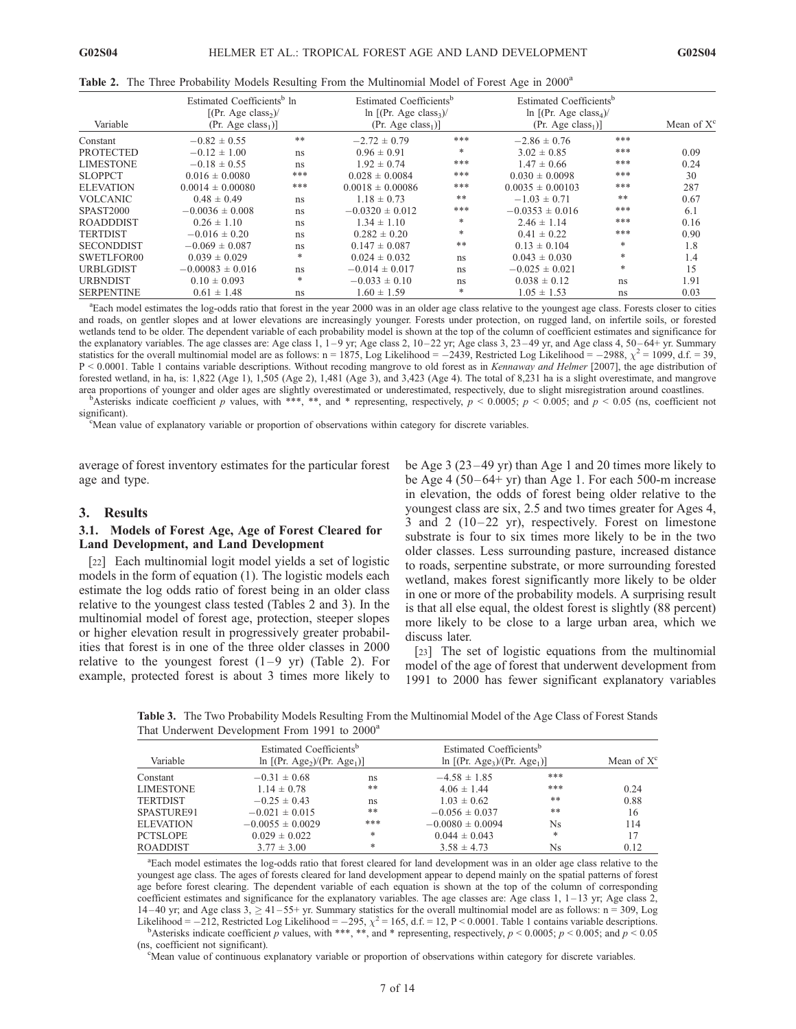|  |  |  | Table 2. The Three Probability Models Resulting From the Multinomial Model of Forest Age in 2000 <sup>a</sup> |  |  |
|--|--|--|---------------------------------------------------------------------------------------------------------------|--|--|
|  |  |  |                                                                                                               |  |  |

| Variable          | Estimated Coefficients <sup>b</sup> In<br>[(Pr. Age class <sub>2</sub> )<br>(Pr. Age class <sub>1</sub> ) |     | Estimated Coefficients <sup>b</sup><br>ln $[(Pr. Age class3)$<br>$(Pr. Age class1)$ ] |     | Estimated Coefficients <sup>b</sup><br>$\ln$ [(Pr. Age class <sub>4</sub> )/<br>(Pr. Age class <sub>1</sub> ) |       | Mean of $X^c$ |
|-------------------|-----------------------------------------------------------------------------------------------------------|-----|---------------------------------------------------------------------------------------|-----|---------------------------------------------------------------------------------------------------------------|-------|---------------|
| Constant          | $-0.82 \pm 0.55$                                                                                          | **  | $-2.72 \pm 0.79$                                                                      | *** | $-2.86 \pm 0.76$                                                                                              | ***   |               |
| <b>PROTECTED</b>  | $-0.12 \pm 1.00$                                                                                          | ns  | $0.96 \pm 0.91$                                                                       | *   | $3.02 \pm 0.85$                                                                                               | ***   | 0.09          |
| <b>LIMESTONE</b>  | $-0.18 \pm 0.55$                                                                                          | ns  | $1.92 \pm 0.74$                                                                       | *** | $1.47 \pm 0.66$                                                                                               | ***   | 0.24          |
| <b>SLOPPCT</b>    | $0.016 \pm 0.0080$                                                                                        | *** | $0.028 \pm 0.0084$                                                                    | *** | $0.030 \pm 0.0098$                                                                                            | ***   | 30            |
| <b>ELEVATION</b>  | $0.0014 \pm 0.00080$                                                                                      | *** | $0.0018 \pm 0.00086$                                                                  | *** | $0.0035 \pm 0.00103$                                                                                          | ***   | 287           |
| <b>VOLCANIC</b>   | $0.48 \pm 0.49$                                                                                           | ns  | $1.18 \pm 0.73$                                                                       | **  | $-1.03 \pm 0.71$                                                                                              | $***$ | 0.67          |
| <b>SPAST2000</b>  | $-0.0036 \pm 0.008$                                                                                       | ns  | $-0.0320 \pm 0.012$                                                                   | *** | $-0.0353 \pm 0.016$                                                                                           | ***   | 6.1           |
| <b>ROADDDIST</b>  | $0.26 \pm 1.10$                                                                                           | ns  | $1.34 \pm 1.10$                                                                       | *   | $2.46 \pm 1.14$                                                                                               | ***   | 0.16          |
| <b>TERTDIST</b>   | $-0.016 \pm 0.20$                                                                                         | ns  | $0.282 \pm 0.20$                                                                      | *   | $0.41 \pm 0.22$                                                                                               | ***   | 0.90          |
| <b>SECONDDIST</b> | $-0.069 \pm 0.087$                                                                                        | ns  | $0.147 \pm 0.087$                                                                     | **  | $0.13 \pm 0.104$                                                                                              | *     | 1.8           |
| SWETLFOR00        | $0.039 \pm 0.029$                                                                                         | *   | $0.024 \pm 0.032$                                                                     | ns  | $0.043 \pm 0.030$                                                                                             | *     | 1.4           |
| <b>URBLGDIST</b>  | $-0.00083 \pm 0.016$                                                                                      | ns  | $-0.014 \pm 0.017$                                                                    | ns  | $-0.025 \pm 0.021$                                                                                            | *     | 15            |
| <b>URBNDIST</b>   | $0.10 \pm 0.093$                                                                                          | *   | $-0.033 \pm 0.10$                                                                     | ns  | $0.038 \pm 0.12$                                                                                              | ns    | 1.91          |
| <b>SERPENTINE</b> | $0.61 \pm 1.48$                                                                                           | ns  | $1.60 \pm 1.59$                                                                       | *   | $1.05 \pm 1.53$                                                                                               | ns    | 0.03          |

a Each model estimates the log-odds ratio that forest in the year 2000 was in an older age class relative to the youngest age class. Forests closer to cities and roads, on gentler slopes and at lower elevations are increasingly younger. Forests under protection, on rugged land, on infertile soils, or forested wetlands tend to be older. The dependent variable of each probability model is shown at the top of the column of coefficient estimates and significance for the explanatory variables. The age classes are: Age class 1,  $1-9$  yr; Age class 2,  $10-22$  yr; Age class 3,  $23-49$  yr, and Age class 4,  $50-64+$  yr. Summary statistics for the overall multinomial model are as follows:  $n = 1875$ , Log Likelihood =  $-2439$ , Restricted Log Likelihood =  $-2988$ ,  $\chi^2 = 1099$ , d.f. = 39, P < 0.0001. Table 1 contains variable descriptions. Without recoding mangrove to old forest as in Kennaway and Helmer [2007], the age distribution of forested wetland, in ha, is: 1,822 (Age 1), 1,505 (Age 2), 1,481 (Age 3), and 3,423 (Age 4). The total of 8,231 ha is a slight overestimate, and mangrove area proportions of younger and older ages are slightly overestimated or underestimated, respectively, due to slight misregistration around coastlines. <sup>b</sup>

Asterisks indicate coefficient p values, with \*\*\*, \*\*, and \* representing, respectively,  $p < 0.0005$ ;  $p < 0.005$ ; and  $p < 0.05$  (ns, coefficient not significant).

Mean value of explanatory variable or proportion of observations within category for discrete variables.

average of forest inventory estimates for the particular forest age and type.

## 3. Results

#### 3.1. Models of Forest Age, Age of Forest Cleared for Land Development, and Land Development

[22] Each multinomial logit model yields a set of logistic models in the form of equation (1). The logistic models each estimate the log odds ratio of forest being in an older class relative to the youngest class tested (Tables 2 and 3). In the multinomial model of forest age, protection, steeper slopes or higher elevation result in progressively greater probabilities that forest is in one of the three older classes in 2000 relative to the youngest forest  $(1-9 \text{ yr})$  (Table 2). For example, protected forest is about 3 times more likely to be Age 3 (23 – 49 yr) than Age 1 and 20 times more likely to be Age 4 ( $50-64+$  yr) than Age 1. For each  $500-$ m increase in elevation, the odds of forest being older relative to the youngest class are six, 2.5 and two times greater for Ages 4, 3 and 2  $(10-22 \text{ yr})$ , respectively. Forest on limestone substrate is four to six times more likely to be in the two older classes. Less surrounding pasture, increased distance to roads, serpentine substrate, or more surrounding forested wetland, makes forest significantly more likely to be older in one or more of the probability models. A surprising result is that all else equal, the oldest forest is slightly (88 percent) more likely to be close to a large urban area, which we discuss later.

[23] The set of logistic equations from the multinomial model of the age of forest that underwent development from 1991 to 2000 has fewer significant explanatory variables

Table 3. The Two Probability Models Resulting From the Multinomial Model of the Age Class of Forest Stands That Underwent Development From 1991 to 2000<sup>a</sup>

| Variable         | Estimated Coefficients <sup>b</sup><br>$\ln$ [(Pr. Age <sub>2</sub> )/(Pr. Age <sub>1</sub> )] |     | Estimated Coefficients <sup>b</sup><br>$\ln$ [(Pr. Age <sub>3</sub> )/(Pr. Age <sub>1</sub> )] |       | Mean of $X^c$ |
|------------------|------------------------------------------------------------------------------------------------|-----|------------------------------------------------------------------------------------------------|-------|---------------|
| Constant         | $-0.31 \pm 0.68$                                                                               | ns  | $-4.58 \pm 1.85$                                                                               | ***   |               |
| LIMESTONE        | $1.14 \pm 0.78$                                                                                | **  | $4.06 \pm 1.44$                                                                                | ***   | 0.24          |
| TERTDIST         | $-0.25 \pm 0.43$                                                                               | ns  | $1.03 \pm 0.62$                                                                                | $***$ | 0.88          |
| SPASTURE91       | $-0.021 \pm 0.015$                                                                             | **  | $-0.056 \pm 0.037$                                                                             | $***$ | 16            |
| <b>ELEVATION</b> | $-0.0055 \pm 0.0029$                                                                           | *** | $-0.0080 \pm 0.0094$                                                                           | Ns    | 114           |
| PCTSLOPE         | $0.029 \pm 0.022$                                                                              | *   | $0.044 \pm 0.043$                                                                              | *     | 17            |
| ROADDIST         | $3.77 \pm 3.00$                                                                                | *   | $3.58 \pm 4.73$                                                                                | Ns    | 0.12          |
|                  |                                                                                                |     |                                                                                                |       |               |

<sup>a</sup>Each model estimates the log-odds ratio that forest cleared for land development was in an older age class relative to the youngest age class. The ages of forests cleared for land development appear to depend mainly on the spatial patterns of forest age before forest clearing. The dependent variable of each equation is shown at the top of the column of corresponding coefficient estimates and significance for the explanatory variables. The age classes are: Age class  $1, 1-13$  yr; Age class  $2$ , 14–40 yr; and Age class  $3$ ,  $\geq$  41–55+ yr. Summary statistics for the overall multinomial model are as follows: n = 309, Log Likelihood =  $-212$ , Restricted Log Likelihood =  $-295$ ,  $\chi^2 = 165$ , d.f. = 12, P < 0.0001. Table 1 contains variable descriptions.

Asterisks indicate coefficient p values, with \*\*\*, \*\*, and \* representing, respectively,  $p < 0.0005$ ;  $p < 0.005$ ; and  $p < 0.05$ (ns, coefficient not significant).

<sup>c</sup>Mean value of continuous explanatory variable or proportion of observations within category for discrete variables.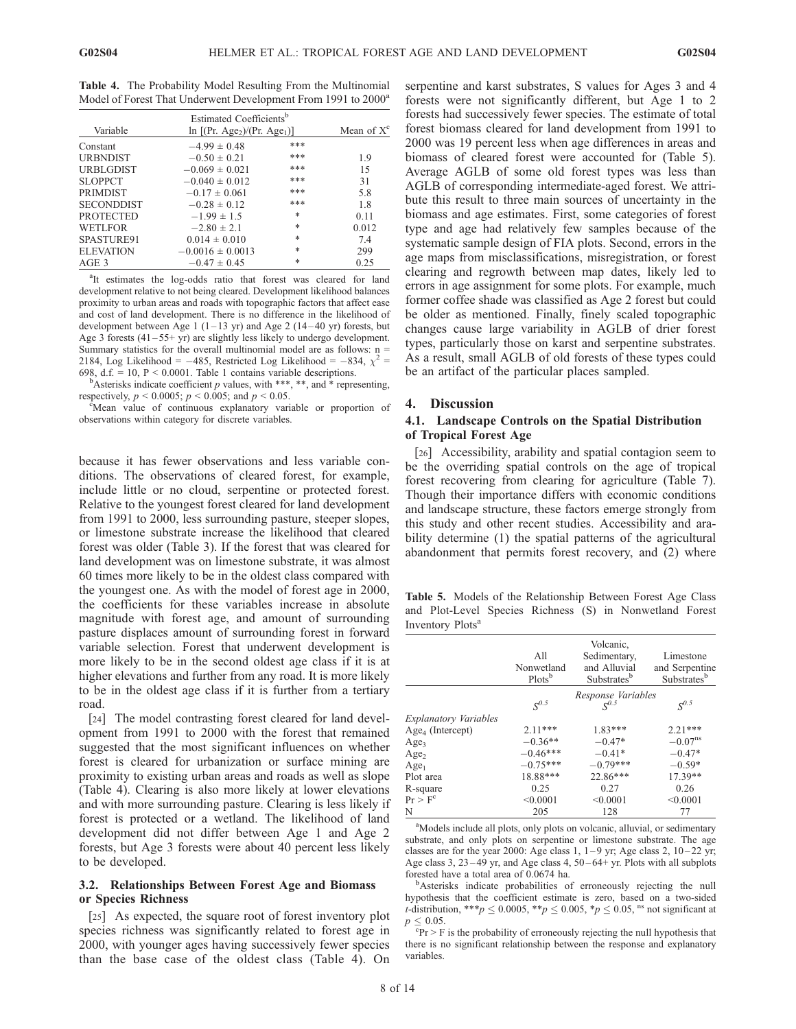Table 4. The Probability Model Resulting From the Multinomial Model of Forest That Underwent Development From 1991 to 2000<sup>a</sup>

|                   | Estimated Coefficients <sup>b</sup>                     |        |               |
|-------------------|---------------------------------------------------------|--------|---------------|
| Variable          | $\ln$ [(Pr. Age <sub>2</sub> )/(Pr. Age <sub>1</sub> )] |        | Mean of $X^c$ |
| Constant          | $-4.99 \pm 0.48$                                        | ***    |               |
| <b>URBNDIST</b>   | $-0.50 \pm 0.21$                                        | ***    | 1.9           |
| <b>URBLGDIST</b>  | $-0.069 \pm 0.021$                                      | ***    | 15            |
| <b>SLOPPCT</b>    | $-0.040 \pm 0.012$                                      | ***    | 31            |
| <b>PRIMDIST</b>   | $-0.17 \pm 0.061$                                       | ***    | 5.8           |
| <b>SECONDDIST</b> | $-0.28 \pm 0.12$                                        | ***    | 1.8           |
| <b>PROTECTED</b>  | $-1.99 \pm 1.5$                                         | $\ast$ | 0.11          |
| <b>WETLFOR</b>    | $-2.80 \pm 2.1$                                         | *      | 0.012         |
| SPASTURE91        | $0.014 \pm 0.010$                                       | *      | 7.4           |
| <b>ELEVATION</b>  | $-0.0016 \pm 0.0013$                                    | *      | 299           |
| AGE 3             | $-0.47 \pm 0.45$                                        | *      | 0.25          |

<sup>a</sup>It estimates the log-odds ratio that forest was cleared for land development relative to not being cleared. Development likelihood balances proximity to urban areas and roads with topographic factors that affect ease and cost of land development. There is no difference in the likelihood of development between Age 1 (1–13 yr) and Age 2 (14–40 yr) forests, but Age 3 forests  $(41-55+yr)$  are slightly less likely to undergo development. Summary statistics for the overall multinomial model are as follows:  $n =$ 2184, Log Likelihood = -485, Restricted Log Likelihood = -834,  $\chi^2$  = 698, d.f.  $= 10$ ,  $P < 0.0001$ . Table 1 contains variable descriptions.

Asterisks indicate coefficient p values, with \*\*\*, \*\*, and \* representing, respectively,  $p < 0.0005$ ;  $p < 0.005$ ; and  $p < 0.05$ .

Mean value of continuous explanatory variable or proportion of observations within category for discrete variables.

because it has fewer observations and less variable conditions. The observations of cleared forest, for example, include little or no cloud, serpentine or protected forest. Relative to the youngest forest cleared for land development from 1991 to 2000, less surrounding pasture, steeper slopes, or limestone substrate increase the likelihood that cleared forest was older (Table 3). If the forest that was cleared for land development was on limestone substrate, it was almost 60 times more likely to be in the oldest class compared with the youngest one. As with the model of forest age in 2000, the coefficients for these variables increase in absolute magnitude with forest age, and amount of surrounding pasture displaces amount of surrounding forest in forward variable selection. Forest that underwent development is more likely to be in the second oldest age class if it is at higher elevations and further from any road. It is more likely to be in the oldest age class if it is further from a tertiary road.

[24] The model contrasting forest cleared for land development from 1991 to 2000 with the forest that remained suggested that the most significant influences on whether forest is cleared for urbanization or surface mining are proximity to existing urban areas and roads as well as slope (Table 4). Clearing is also more likely at lower elevations and with more surrounding pasture. Clearing is less likely if forest is protected or a wetland. The likelihood of land development did not differ between Age 1 and Age 2 forests, but Age 3 forests were about 40 percent less likely to be developed.

## 3.2. Relationships Between Forest Age and Biomass or Species Richness

[25] As expected, the square root of forest inventory plot species richness was significantly related to forest age in 2000, with younger ages having successively fewer species than the base case of the oldest class (Table 4). On

serpentine and karst substrates, S values for Ages 3 and 4 forests were not significantly different, but Age 1 to 2 forests had successively fewer species. The estimate of total forest biomass cleared for land development from 1991 to 2000 was 19 percent less when age differences in areas and biomass of cleared forest were accounted for (Table 5). Average AGLB of some old forest types was less than AGLB of corresponding intermediate-aged forest. We attribute this result to three main sources of uncertainty in the biomass and age estimates. First, some categories of forest type and age had relatively few samples because of the systematic sample design of FIA plots. Second, errors in the age maps from misclassifications, misregistration, or forest clearing and regrowth between map dates, likely led to errors in age assignment for some plots. For example, much former coffee shade was classified as Age 2 forest but could be older as mentioned. Finally, finely scaled topographic changes cause large variability in AGLB of drier forest types, particularly those on karst and serpentine substrates. As a result, small AGLB of old forests of these types could be an artifact of the particular places sampled.

#### 4. Discussion

# 4.1. Landscape Controls on the Spatial Distribution of Tropical Forest Age

[26] Accessibility, arability and spatial contagion seem to be the overriding spatial controls on the age of tropical forest recovering from clearing for agriculture (Table 7). Though their importance differs with economic conditions and landscape structure, these factors emerge strongly from this study and other recent studies. Accessibility and arability determine (1) the spatial patterns of the agricultural abandonment that permits forest recovery, and (2) where

Table 5. Models of the Relationship Between Forest Age Class and Plot-Level Species Richness (S) in Nonwetland Forest Inventory Plots<sup>a</sup>

|                              | A11<br>Nonwetland<br>Plots <sup>b</sup> | Volcanic,<br>Sedimentary,<br>and Alluvial<br>Substrates <sup>b</sup> | Limestone<br>and Serpentine<br>Substratesb |
|------------------------------|-----------------------------------------|----------------------------------------------------------------------|--------------------------------------------|
|                              |                                         | Response Variables                                                   |                                            |
|                              | $S^{0.5}$                               | $C^{0.5}$                                                            | $S^{0.5}$                                  |
| <i>Explanatory Variables</i> |                                         |                                                                      |                                            |
| $Age4$ (Intercept)           | $2.11***$                               | $1.83***$                                                            | $2.21***$                                  |
| Age <sub>3</sub>             | $-0.36**$                               | $-0.47*$                                                             | $-0.07^{\text{ns}}$                        |
| Age <sub>2</sub>             | $-0.46***$                              | $-0.41*$                                                             | $-0.47*$                                   |
| Age <sub>1</sub>             | $-0.75***$                              | $-0.79***$                                                           | $-0.59*$                                   |
| Plot area                    | 18.88***                                | 22.86***                                                             | 17.39**                                    |
| R-square                     | 0.25                                    | 0.27                                                                 | 0.26                                       |
| Pr > F <sup>c</sup>          | < 0.0001                                | < 0.0001                                                             | < 0.0001                                   |
| N                            | 205                                     | 128                                                                  | 77                                         |

<sup>a</sup>Models include all plots, only plots on volcanic, alluvial, or sedimentary substrate, and only plots on serpentine or limestone substrate. The age classes are for the year 2000: Age class 1,  $1-9$  yr; Age class 2,  $10-22$  yr; Age class 3, 23 – 49 yr, and Age class 4, 50 – 64+ yr. Plots with all subplots forested have a total area of 0.0674 ha. <sup>b</sup>

Asterisks indicate probabilities of erroneously rejecting the null hypothesis that the coefficient estimate is zero, based on a two-sided *t*-distribution, \*\*\**p*  $\leq$  0.0005, \**p*  $\leq$  0.005, \**p*  $\leq$  0.05, <sup>ns</sup> not significant at  $\leq 0.05$ .

 ${}^{c}Pr$  > F is the probability of erroneously rejecting the null hypothesis that there is no significant relationship between the response and explanatory variables.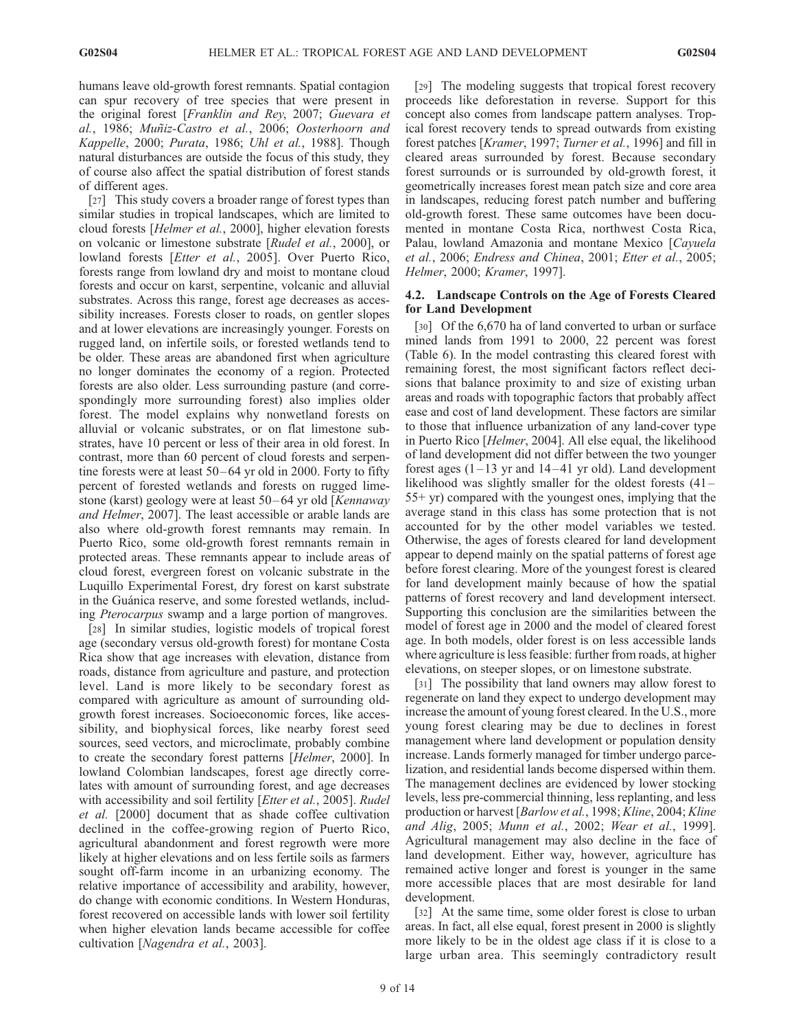humans leave old-growth forest remnants. Spatial contagion can spur recovery of tree species that were present in the original forest [Franklin and Rey, 2007; Guevara et al., 1986; Muñiz-Castro et al., 2006; Oosterhoorn and Kappelle, 2000; Purata, 1986; Uhl et al., 1988]. Though natural disturbances are outside the focus of this study, they of course also affect the spatial distribution of forest stands of different ages.

[27] This study covers a broader range of forest types than similar studies in tropical landscapes, which are limited to cloud forests [Helmer et al., 2000], higher elevation forests on volcanic or limestone substrate [Rudel et al., 2000], or lowland forests [Etter et al., 2005]. Over Puerto Rico, forests range from lowland dry and moist to montane cloud forests and occur on karst, serpentine, volcanic and alluvial substrates. Across this range, forest age decreases as accessibility increases. Forests closer to roads, on gentler slopes and at lower elevations are increasingly younger. Forests on rugged land, on infertile soils, or forested wetlands tend to be older. These areas are abandoned first when agriculture no longer dominates the economy of a region. Protected forests are also older. Less surrounding pasture (and correspondingly more surrounding forest) also implies older forest. The model explains why nonwetland forests on alluvial or volcanic substrates, or on flat limestone substrates, have 10 percent or less of their area in old forest. In contrast, more than 60 percent of cloud forests and serpentine forests were at least 50-64 yr old in 2000. Forty to fifty percent of forested wetlands and forests on rugged limestone (karst) geology were at least 50-64 yr old [Kennaway and Helmer, 2007]. The least accessible or arable lands are also where old-growth forest remnants may remain. In Puerto Rico, some old-growth forest remnants remain in protected areas. These remnants appear to include areas of cloud forest, evergreen forest on volcanic substrate in the Luquillo Experimental Forest, dry forest on karst substrate in the Guánica reserve, and some forested wetlands, including Pterocarpus swamp and a large portion of mangroves.

[28] In similar studies, logistic models of tropical forest age (secondary versus old-growth forest) for montane Costa Rica show that age increases with elevation, distance from roads, distance from agriculture and pasture, and protection level. Land is more likely to be secondary forest as compared with agriculture as amount of surrounding oldgrowth forest increases. Socioeconomic forces, like accessibility, and biophysical forces, like nearby forest seed sources, seed vectors, and microclimate, probably combine to create the secondary forest patterns [Helmer, 2000]. In lowland Colombian landscapes, forest age directly correlates with amount of surrounding forest, and age decreases with accessibility and soil fertility [Etter et al., 2005]. Rudel et al. [2000] document that as shade coffee cultivation declined in the coffee-growing region of Puerto Rico, agricultural abandonment and forest regrowth were more likely at higher elevations and on less fertile soils as farmers sought off-farm income in an urbanizing economy. The relative importance of accessibility and arability, however, do change with economic conditions. In Western Honduras, forest recovered on accessible lands with lower soil fertility when higher elevation lands became accessible for coffee cultivation [Nagendra et al., 2003].

[29] The modeling suggests that tropical forest recovery proceeds like deforestation in reverse. Support for this concept also comes from landscape pattern analyses. Tropical forest recovery tends to spread outwards from existing forest patches [Kramer, 1997; Turner et al., 1996] and fill in cleared areas surrounded by forest. Because secondary forest surrounds or is surrounded by old-growth forest, it geometrically increases forest mean patch size and core area in landscapes, reducing forest patch number and buffering old-growth forest. These same outcomes have been documented in montane Costa Rica, northwest Costa Rica, Palau, lowland Amazonia and montane Mexico [Cayuela et al., 2006; Endress and Chinea, 2001; Etter et al., 2005; Helmer, 2000; Kramer, 1997].

## 4.2. Landscape Controls on the Age of Forests Cleared for Land Development

[30] Of the 6,670 ha of land converted to urban or surface mined lands from 1991 to 2000, 22 percent was forest (Table 6). In the model contrasting this cleared forest with remaining forest, the most significant factors reflect decisions that balance proximity to and size of existing urban areas and roads with topographic factors that probably affect ease and cost of land development. These factors are similar to those that influence urbanization of any land-cover type in Puerto Rico [Helmer, 2004]. All else equal, the likelihood of land development did not differ between the two younger forest ages  $(1-13 \text{ yr}$  and  $14-41 \text{ yr}$  old). Land development likelihood was slightly smaller for the oldest forests  $(41 -$ 55+ yr) compared with the youngest ones, implying that the average stand in this class has some protection that is not accounted for by the other model variables we tested. Otherwise, the ages of forests cleared for land development appear to depend mainly on the spatial patterns of forest age before forest clearing. More of the youngest forest is cleared for land development mainly because of how the spatial patterns of forest recovery and land development intersect. Supporting this conclusion are the similarities between the model of forest age in 2000 and the model of cleared forest age. In both models, older forest is on less accessible lands where agriculture is less feasible: further from roads, at higher elevations, on steeper slopes, or on limestone substrate.

[31] The possibility that land owners may allow forest to regenerate on land they expect to undergo development may increase the amount of young forest cleared. In the U.S., more young forest clearing may be due to declines in forest management where land development or population density increase. Lands formerly managed for timber undergo parcelization, and residential lands become dispersed within them. The management declines are evidenced by lower stocking levels, less pre-commercial thinning, less replanting, and less production or harvest [Barlow et al., 1998; Kline, 2004; Kline and Alig, 2005; Munn et al., 2002; Wear et al., 1999]. Agricultural management may also decline in the face of land development. Either way, however, agriculture has remained active longer and forest is younger in the same more accessible places that are most desirable for land development.

[32] At the same time, some older forest is close to urban areas. In fact, all else equal, forest present in 2000 is slightly more likely to be in the oldest age class if it is close to a large urban area. This seemingly contradictory result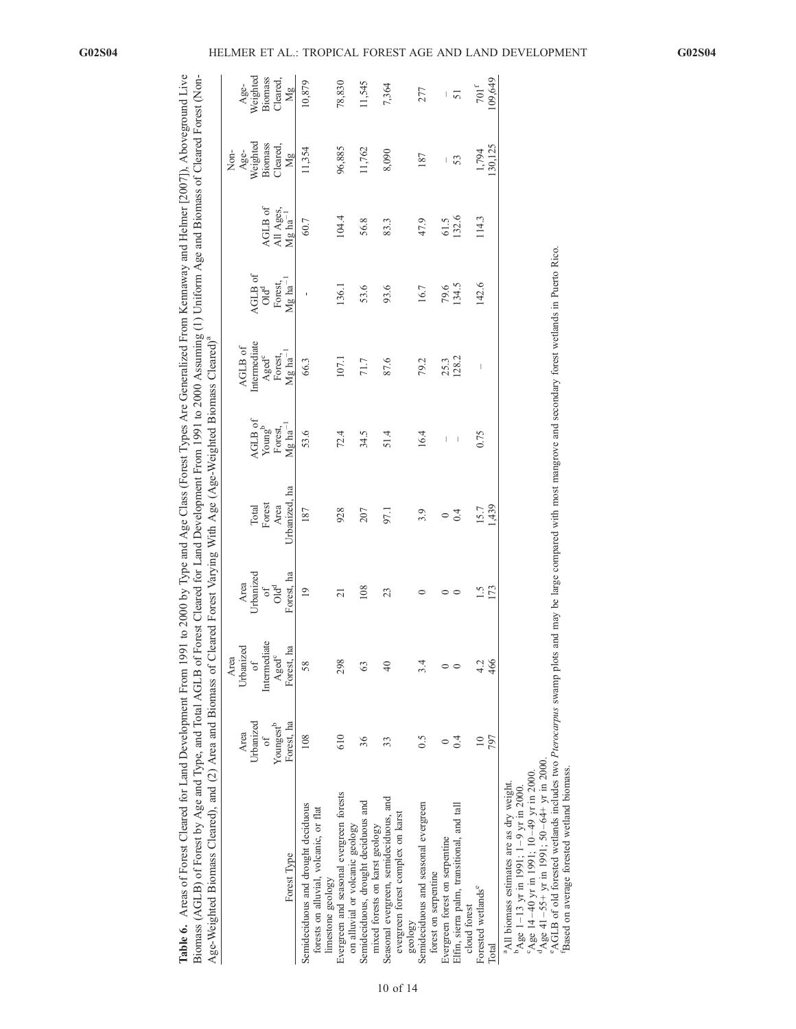|                                              | $-f$ $\sim$ $f$ $\sim$ $f$ $\sim$ $\sim$ $\sim$ $\sim$       |                                                             |
|----------------------------------------------|--------------------------------------------------------------|-------------------------------------------------------------|
|                                              |                                                              |                                                             |
| i<br>C                                       |                                                              |                                                             |
|                                              |                                                              |                                                             |
|                                              |                                                              |                                                             |
|                                              |                                                              |                                                             |
| i From Ker                                   | uning (1) Uniform Age and Biom                               |                                                             |
| -ypes Are Generalize                         |                                                              |                                                             |
|                                              |                                                              |                                                             |
|                                              |                                                              |                                                             |
|                                              |                                                              |                                                             |
|                                              | lopment From 1991 to 2000 A.                                 |                                                             |
| Age Class (Forest Type:                      |                                                              | ith Age (Age-Weighted Biom                                  |
| no by Type and As-                           |                                                              | $\mathsf{max}$ With $\ell$                                  |
|                                              |                                                              | we hore varying v.                                          |
|                                              |                                                              |                                                             |
| $0.7 \,$ m $16$                              | Forest                                                       |                                                             |
|                                              | ļ.                                                           |                                                             |
| $\sim$ nt From 1                             |                                                              |                                                             |
|                                              |                                                              |                                                             |
|                                              |                                                              |                                                             |
|                                              |                                                              |                                                             |
|                                              |                                                              |                                                             |
|                                              |                                                              |                                                             |
|                                              |                                                              |                                                             |
| 5. Areas of Forest Cleared for Land Develop. | iomass (AGLB) of Forest by Age and Type, and Total AGLB of 1 | e-Weighted Biomass Cleared), and (2) Area and Biomass of C. |
|                                              |                                                              |                                                             |
| Table 6.                                     |                                                              |                                                             |

|                                                                                                                                                                |                                     |                                    |                         |                       |                                  |                                                 |                                  |                                 | Non-          |                                                                                                                                                                                                                                                                                                                                                                                  |
|----------------------------------------------------------------------------------------------------------------------------------------------------------------|-------------------------------------|------------------------------------|-------------------------|-----------------------|----------------------------------|-------------------------------------------------|----------------------------------|---------------------------------|---------------|----------------------------------------------------------------------------------------------------------------------------------------------------------------------------------------------------------------------------------------------------------------------------------------------------------------------------------------------------------------------------------|
|                                                                                                                                                                | Area                                | Urbanized<br>Area                  | Area                    |                       |                                  | AGLB of                                         |                                  |                                 | Age-          | Age-                                                                                                                                                                                                                                                                                                                                                                             |
|                                                                                                                                                                | Urbanized                           | $\sigma$                           | Urbanized               | Total                 | AGLB of                          | Intermediate                                    | AGLB of                          |                                 | Weighted      | Weighted                                                                                                                                                                                                                                                                                                                                                                         |
|                                                                                                                                                                | σf                                  | Intermediate                       | $\sigma$ f              | Forest                | Young <sup>b</sup>               | $\frac{\text{A} \text{ged}^c}{\text{Forest}}$ . | $\mathrm{Odd}^{\mathrm{d}}$      | AGLB of                         | Biomass       | <b>Biomass</b>                                                                                                                                                                                                                                                                                                                                                                   |
| Forest Type                                                                                                                                                    | Forest, ha<br>Youngest <sup>b</sup> | ha<br>Aged <sup>c</sup><br>Forest, | Forest, ha<br>$O1d^{d}$ | Urbanized, ha<br>Area | $Mg$ ha <sup>-1</sup><br>Forest, | $Mg$ ha <sup>-1</sup>                           | Forest,<br>$Mg$ ha <sup>-1</sup> | All Ages, $Mg$ ha <sup>-1</sup> | Cleared<br>Mg | Cleared,<br>Mg                                                                                                                                                                                                                                                                                                                                                                   |
| Semideciduous and drought deciduous                                                                                                                            | 108                                 | 58                                 | $\overline{19}$         | 187                   | 53.6                             | 66.3                                            |                                  | 60.7                            | 11,354        | 10,879                                                                                                                                                                                                                                                                                                                                                                           |
| forests on alluvial, volcanic, or flat<br>limestone geology                                                                                                    |                                     |                                    |                         |                       |                                  |                                                 |                                  |                                 |               |                                                                                                                                                                                                                                                                                                                                                                                  |
| Evergreen and seasonal evergreen forests                                                                                                                       | 610                                 | 298                                | $\overline{c}$          | 928                   | 72.4                             | 107.1                                           | 136.1                            | 104.4                           | 96,885        | 78,830                                                                                                                                                                                                                                                                                                                                                                           |
| on alluvial or volcanic geology                                                                                                                                |                                     |                                    |                         |                       |                                  |                                                 |                                  |                                 |               |                                                                                                                                                                                                                                                                                                                                                                                  |
| Semideciduous, drought deciduous and<br>mixed forests on karst geology                                                                                         | 36                                  | 63                                 | 108                     | 207                   | 34.5                             | 71.7                                            | 53.6                             | 56.8                            | 11,762        | 11,545                                                                                                                                                                                                                                                                                                                                                                           |
| Seasonal evergreen, semideciduous, and                                                                                                                         | 33                                  | $\overline{40}$                    | 23                      | 97.1                  | 51.4                             | 87.6                                            | 93.6                             | 83.3                            | 8,090         | 7,364                                                                                                                                                                                                                                                                                                                                                                            |
| evergreen forest complex on karst                                                                                                                              |                                     |                                    |                         |                       |                                  |                                                 |                                  |                                 |               |                                                                                                                                                                                                                                                                                                                                                                                  |
| geology                                                                                                                                                        |                                     |                                    |                         |                       |                                  |                                                 |                                  |                                 |               |                                                                                                                                                                                                                                                                                                                                                                                  |
| Semideciduous and seasonal evergreen                                                                                                                           | 0.5                                 | 3.4                                | $\circ$                 | 3.9                   | 16.4                             | 79.2                                            | 16.7                             | 47.9                            | 187           | 277                                                                                                                                                                                                                                                                                                                                                                              |
| forest on serpentine                                                                                                                                           |                                     |                                    |                         |                       |                                  |                                                 |                                  |                                 |               |                                                                                                                                                                                                                                                                                                                                                                                  |
| Evergreen forest on serpentine                                                                                                                                 | $\circ$                             |                                    |                         | $\circ$               | $\overline{\phantom{a}}$         | 25.3<br>128.2                                   | 79.6                             | 61.5                            | $\mid$        | $\begin{array}{c} \rule{0pt}{2.5ex} \rule{0pt}{2.5ex} \rule{0pt}{2.5ex} \rule{0pt}{2.5ex} \rule{0pt}{2.5ex} \rule{0pt}{2.5ex} \rule{0pt}{2.5ex} \rule{0pt}{2.5ex} \rule{0pt}{2.5ex} \rule{0pt}{2.5ex} \rule{0pt}{2.5ex} \rule{0pt}{2.5ex} \rule{0pt}{2.5ex} \rule{0pt}{2.5ex} \rule{0pt}{2.5ex} \rule{0pt}{2.5ex} \rule{0pt}{2.5ex} \rule{0pt}{2.5ex} \rule{0pt}{2.5ex} \rule{0$ |
| Elfin, sierra palm, transitional, and tall                                                                                                                     | 0.4                                 |                                    | $\circ$                 | 0.4                   | $\overline{\phantom{a}}$         |                                                 | 134.5                            | 132.6                           | 53            | 51                                                                                                                                                                                                                                                                                                                                                                               |
| cloud forest                                                                                                                                                   |                                     |                                    |                         |                       |                                  |                                                 |                                  |                                 |               |                                                                                                                                                                                                                                                                                                                                                                                  |
| Forested wetlands <sup>e</sup>                                                                                                                                 | $\overline{10}$                     | 4.2                                | $\frac{5}{1}$           | 15.7                  | 0.75                             |                                                 | 142.6                            | 114.3                           | 1,794         | $701^{\rm f}$                                                                                                                                                                                                                                                                                                                                                                    |
| Total                                                                                                                                                          | 797                                 | 466                                | 173                     | 1,439                 |                                  |                                                 |                                  |                                 | 130,125       | 09,649                                                                                                                                                                                                                                                                                                                                                                           |
| <sup>a</sup> All biomass estimates are as dry weight.                                                                                                          |                                     |                                    |                         |                       |                                  |                                                 |                                  |                                 |               |                                                                                                                                                                                                                                                                                                                                                                                  |
| $94 \text{g}$ e 14-40 yr in 1991; 10-49 yr in 2000<br>$P_{\text{Age}}$ 1-13 yr in 1991; 1-9 yr in 2000.                                                        |                                     |                                    |                         |                       |                                  |                                                 |                                  |                                 |               |                                                                                                                                                                                                                                                                                                                                                                                  |
| ${}^{4}$ Age 41–55+ yr in 1991; 50–64+ yr in 2000.                                                                                                             |                                     |                                    |                         |                       |                                  |                                                 |                                  |                                 |               |                                                                                                                                                                                                                                                                                                                                                                                  |
| "AGLB of old forested wetlands includes two Pterocarpus swamp plots and may be large compared with most mangrove and secondary forest wetlands in Puerto Rico. |                                     |                                    |                         |                       |                                  |                                                 |                                  |                                 |               |                                                                                                                                                                                                                                                                                                                                                                                  |
| Based on average forested wetland biomass.                                                                                                                     |                                     |                                    |                         |                       |                                  |                                                 |                                  |                                 |               |                                                                                                                                                                                                                                                                                                                                                                                  |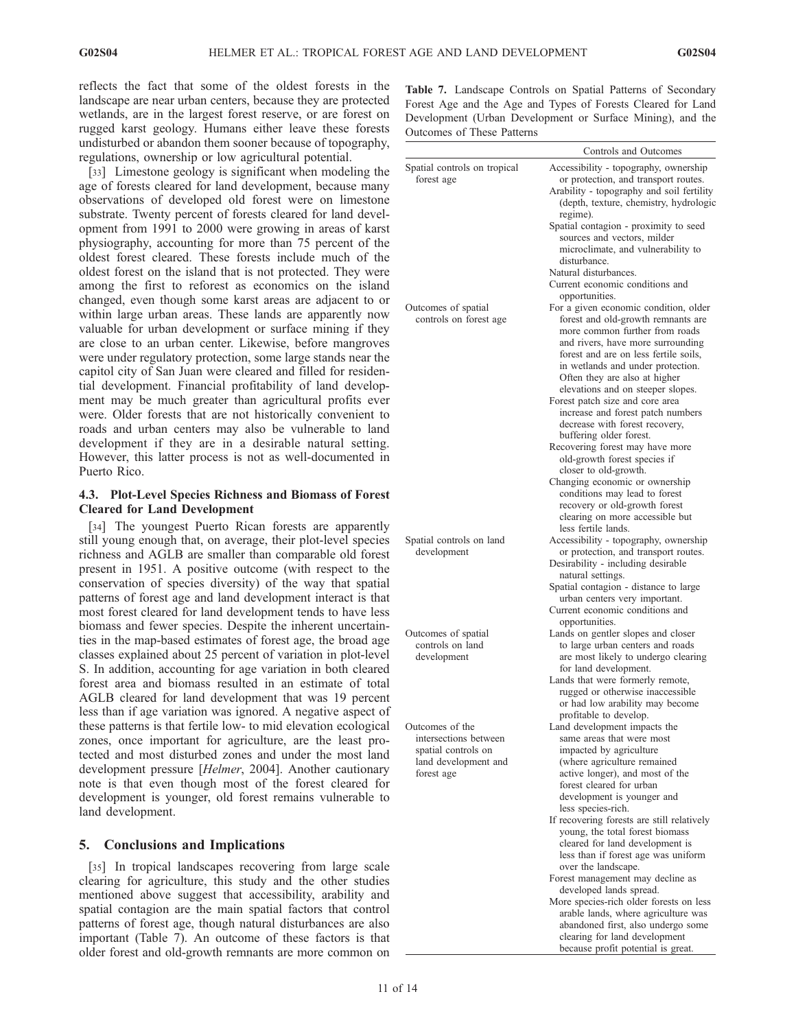reflects the fact that some of the oldest forests in the landscape are near urban centers, because they are protected wetlands, are in the largest forest reserve, or are forest on rugged karst geology. Humans either leave these forests undisturbed or abandon them sooner because of topography, regulations, ownership or low agricultural potential.

[33] Limestone geology is significant when modeling the age of forests cleared for land development, because many observations of developed old forest were on limestone substrate. Twenty percent of forests cleared for land development from 1991 to 2000 were growing in areas of karst physiography, accounting for more than 75 percent of the oldest forest cleared. These forests include much of the oldest forest on the island that is not protected. They were among the first to reforest as economics on the island changed, even though some karst areas are adjacent to or within large urban areas. These lands are apparently now valuable for urban development or surface mining if they are close to an urban center. Likewise, before mangroves were under regulatory protection, some large stands near the capitol city of San Juan were cleared and filled for residential development. Financial profitability of land development may be much greater than agricultural profits ever were. Older forests that are not historically convenient to roads and urban centers may also be vulnerable to land development if they are in a desirable natural setting. However, this latter process is not as well-documented in Puerto Rico.

# 4.3. Plot-Level Species Richness and Biomass of Forest Cleared for Land Development

[34] The youngest Puerto Rican forests are apparently still young enough that, on average, their plot-level species richness and AGLB are smaller than comparable old forest present in 1951. A positive outcome (with respect to the conservation of species diversity) of the way that spatial patterns of forest age and land development interact is that most forest cleared for land development tends to have less biomass and fewer species. Despite the inherent uncertainties in the map-based estimates of forest age, the broad age classes explained about 25 percent of variation in plot-level S. In addition, accounting for age variation in both cleared forest area and biomass resulted in an estimate of total AGLB cleared for land development that was 19 percent less than if age variation was ignored. A negative aspect of these patterns is that fertile low- to mid elevation ecological zones, once important for agriculture, are the least protected and most disturbed zones and under the most land development pressure [Helmer, 2004]. Another cautionary note is that even though most of the forest cleared for development is younger, old forest remains vulnerable to land development.

# 5. Conclusions and Implications

[35] In tropical landscapes recovering from large scale clearing for agriculture, this study and the other studies mentioned above suggest that accessibility, arability and spatial contagion are the main spatial factors that control patterns of forest age, though natural disturbances are also important (Table 7). An outcome of these factors is that older forest and old-growth remnants are more common on Table 7. Landscape Controls on Spatial Patterns of Secondary Forest Age and the Age and Types of Forests Cleared for Land Development (Urban Development or Surface Mining), and the Outcomes of These Patterns

|                                                                                                       | Controls and Outcomes                                                                                                                                                                                                                                                       |
|-------------------------------------------------------------------------------------------------------|-----------------------------------------------------------------------------------------------------------------------------------------------------------------------------------------------------------------------------------------------------------------------------|
| Spatial controls on tropical<br>forest age                                                            | Accessibility - topography, ownership<br>or protection, and transport routes.<br>Arability - topography and soil fertility<br>(depth, texture, chemistry, hydrologic<br>regime).<br>Spatial contagion - proximity to seed<br>sources and vectors, milder                    |
|                                                                                                       | microclimate, and vulnerability to<br>disturbance.<br>Natural disturbances.                                                                                                                                                                                                 |
| Outcomes of spatial                                                                                   | Current economic conditions and<br>opportunities.<br>For a given economic condition, older                                                                                                                                                                                  |
| controls on forest age                                                                                | forest and old-growth remnants are<br>more common further from roads<br>and rivers, have more surrounding<br>forest and are on less fertile soils,<br>in wetlands and under protection.<br>Often they are also at higher<br>elevations and on steeper slopes.               |
|                                                                                                       | Forest patch size and core area<br>increase and forest patch numbers<br>decrease with forest recovery,<br>buffering older forest.<br>Recovering forest may have more                                                                                                        |
|                                                                                                       | old-growth forest species if<br>closer to old-growth.<br>Changing economic or ownership<br>conditions may lead to forest<br>recovery or old-growth forest<br>clearing on more accessible but<br>less fertile lands.                                                         |
| Spatial controls on land<br>development                                                               | Accessibility - topography, ownership<br>or protection, and transport routes.<br>Desirability - including desirable<br>natural settings.<br>Spatial contagion - distance to large<br>urban centers very important.<br>Current economic conditions and<br>opportunities.     |
| Outcomes of spatial<br>controls on land<br>development                                                | Lands on gentler slopes and closer<br>to large urban centers and roads<br>are most likely to undergo clearing<br>for land development.<br>Lands that were formerly remote,<br>rugged or otherwise inaccessible<br>or had low arability may become<br>profitable to develop. |
| Outcomes of the<br>intersections between<br>spatial controls on<br>land development and<br>forest age | Land development impacts the<br>same areas that were most<br>impacted by agriculture<br>(where agriculture remained<br>active longer), and most of the<br>forest cleared for urban<br>development is younger and                                                            |
|                                                                                                       | less species-rich.<br>If recovering forests are still relatively<br>young, the total forest biomass<br>cleared for land development is<br>less than if forest age was uniform<br>over the landscape.<br>Forest management may decline as                                    |
|                                                                                                       | developed lands spread.<br>More species-rich older forests on less<br>arable lands, where agriculture was<br>abandoned first, also undergo some<br>clearing for land development<br>because profit potential is great.                                                      |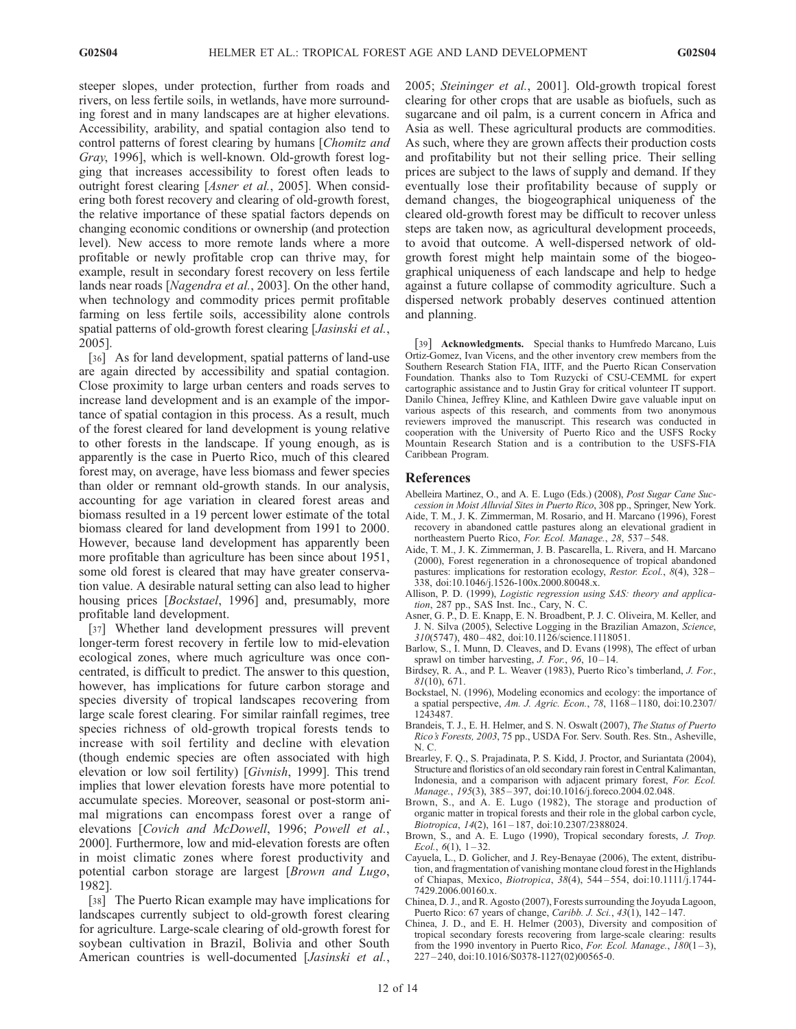steeper slopes, under protection, further from roads and rivers, on less fertile soils, in wetlands, have more surrounding forest and in many landscapes are at higher elevations. Accessibility, arability, and spatial contagion also tend to control patterns of forest clearing by humans [Chomitz and Gray, 1996], which is well-known. Old-growth forest logging that increases accessibility to forest often leads to outright forest clearing [Asner et al., 2005]. When considering both forest recovery and clearing of old-growth forest, the relative importance of these spatial factors depends on changing economic conditions or ownership (and protection level). New access to more remote lands where a more profitable or newly profitable crop can thrive may, for example, result in secondary forest recovery on less fertile lands near roads [Nagendra et al., 2003]. On the other hand, when technology and commodity prices permit profitable farming on less fertile soils, accessibility alone controls spatial patterns of old-growth forest clearing [Jasinski et al., 2005].

[36] As for land development, spatial patterns of land-use are again directed by accessibility and spatial contagion. Close proximity to large urban centers and roads serves to increase land development and is an example of the importance of spatial contagion in this process. As a result, much of the forest cleared for land development is young relative to other forests in the landscape. If young enough, as is apparently is the case in Puerto Rico, much of this cleared forest may, on average, have less biomass and fewer species than older or remnant old-growth stands. In our analysis, accounting for age variation in cleared forest areas and biomass resulted in a 19 percent lower estimate of the total biomass cleared for land development from 1991 to 2000. However, because land development has apparently been more profitable than agriculture has been since about 1951, some old forest is cleared that may have greater conservation value. A desirable natural setting can also lead to higher housing prices [*Bockstael*, 1996] and, presumably, more profitable land development.

[37] Whether land development pressures will prevent longer-term forest recovery in fertile low to mid-elevation ecological zones, where much agriculture was once concentrated, is difficult to predict. The answer to this question, however, has implications for future carbon storage and species diversity of tropical landscapes recovering from large scale forest clearing. For similar rainfall regimes, tree species richness of old-growth tropical forests tends to increase with soil fertility and decline with elevation (though endemic species are often associated with high elevation or low soil fertility) [Givnish, 1999]. This trend implies that lower elevation forests have more potential to accumulate species. Moreover, seasonal or post-storm animal migrations can encompass forest over a range of elevations [Covich and McDowell, 1996; Powell et al., 2000]. Furthermore, low and mid-elevation forests are often in moist climatic zones where forest productivity and potential carbon storage are largest [Brown and Lugo, 1982].

[38] The Puerto Rican example may have implications for landscapes currently subject to old-growth forest clearing for agriculture. Large-scale clearing of old-growth forest for soybean cultivation in Brazil, Bolivia and other South American countries is well-documented [Jasinski et al.,

2005; Steininger et al., 2001]. Old-growth tropical forest clearing for other crops that are usable as biofuels, such as sugarcane and oil palm, is a current concern in Africa and Asia as well. These agricultural products are commodities. As such, where they are grown affects their production costs and profitability but not their selling price. Their selling prices are subject to the laws of supply and demand. If they eventually lose their profitability because of supply or demand changes, the biogeographical uniqueness of the cleared old-growth forest may be difficult to recover unless steps are taken now, as agricultural development proceeds, to avoid that outcome. A well-dispersed network of oldgrowth forest might help maintain some of the biogeographical uniqueness of each landscape and help to hedge against a future collapse of commodity agriculture. Such a dispersed network probably deserves continued attention and planning.

[39] **Acknowledgments.** Special thanks to Humfredo Marcano, Luis Ortiz-Gomez, Ivan Vicens, and the other inventory crew members from the Southern Research Station FIA, IITF, and the Puerto Rican Conservation Foundation. Thanks also to Tom Ruzycki of CSU-CEMML for expert cartographic assistance and to Justin Gray for critical volunteer IT support. Danilo Chinea, Jeffrey Kline, and Kathleen Dwire gave valuable input on various aspects of this research, and comments from two anonymous reviewers improved the manuscript. This research was conducted in cooperation with the University of Puerto Rico and the USFS Rocky Mountain Research Station and is a contribution to the USFS-FIA Caribbean Program.

#### References

- Abelleira Martinez, O., and A. E. Lugo (Eds.) (2008), Post Sugar Cane Succession in Moist Alluvial Sites in Puerto Rico, 308 pp., Springer, New York.
- Aide, T. M., J. K. Zimmerman, M. Rosario, and H. Marcano (1996), Forest recovery in abandoned cattle pastures along an elevational gradient in northeastern Puerto Rico, For. Ecol. Manage., 28, 537 – 548.
- Aide, T. M., J. K. Zimmerman, J. B. Pascarella, L. Rivera, and H. Marcano (2000), Forest regeneration in a chronosequence of tropical abandoned pastures: implications for restoration ecology, Restor. Ecol., 8(4), 328-338, doi:10.1046/j.1526-100x.2000.80048.x.
- Allison, P. D. (1999), Logistic regression using SAS: theory and application, 287 pp., SAS Inst. Inc., Cary, N. C.
- Asner, G. P., D. E. Knapp, E. N. Broadbent, P. J. C. Oliveira, M. Keller, and J. N. Silva (2005), Selective Logging in the Brazilian Amazon, Science, 310(5747), 480 – 482, doi:10.1126/science.1118051.
- Barlow, S., I. Munn, D. Cleaves, and D. Evans (1998), The effect of urban sprawl on timber harvesting,  $J. For, 96, 10-14.$
- Birdsey, R. A., and P. L. Weaver (1983), Puerto Rico's timberland, J. For.,  $81(10)$ , 671.
- Bockstael, N. (1996), Modeling economics and ecology: the importance of a spatial perspective, Am. J. Agric. Econ., 78, 1168 – 1180, doi:10.2307/ 1243487.
- Brandeis, T. J., E. H. Helmer, and S. N. Oswalt (2007), The Status of Puerto Rico's Forests, 2003, 75 pp., USDA For. Serv. South. Res. Stn., Asheville, N. C.
- Brearley, F. Q., S. Prajadinata, P. S. Kidd, J. Proctor, and Suriantata (2004), Structure and floristics of an old secondary rain forest in Central Kalimantan, Indonesia, and a comparison with adjacent primary forest, For. Ecol. Manage., 195(3), 385-397, doi:10.1016/j.foreco.2004.02.048.
- Brown, S., and A. E. Lugo (1982), The storage and production of organic matter in tropical forests and their role in the global carbon cycle, Biotropica, 14(2), 161 – 187, doi:10.2307/2388024.
- Brown, S., and A. E. Lugo (1990), Tropical secondary forests, J. Trop. Ecol.,  $6(1)$ ,  $1-32$ .
- Cayuela, L., D. Golicher, and J. Rey-Benayae (2006), The extent, distribution, and fragmentation of vanishing montane cloud forest in the Highlands of Chiapas, Mexico, Biotropica, 38(4), 544 – 554, doi:10.1111/j.1744- 7429.2006.00160.x.
- Chinea, D. J., and R. Agosto (2007), Forests surrounding the Joyuda Lagoon, Puerto Rico: 67 years of change, *Caribb. J. Sci.*,  $43(1)$ ,  $142-147$ .
- Chinea, J. D., and E. H. Helmer (2003), Diversity and composition of tropical secondary forests recovering from large-scale clearing: results from the 1990 inventory in Puerto Rico, For. Ecol. Manage.,  $180(1-3)$ , 227 – 240, doi:10.1016/S0378-1127(02)00565-0.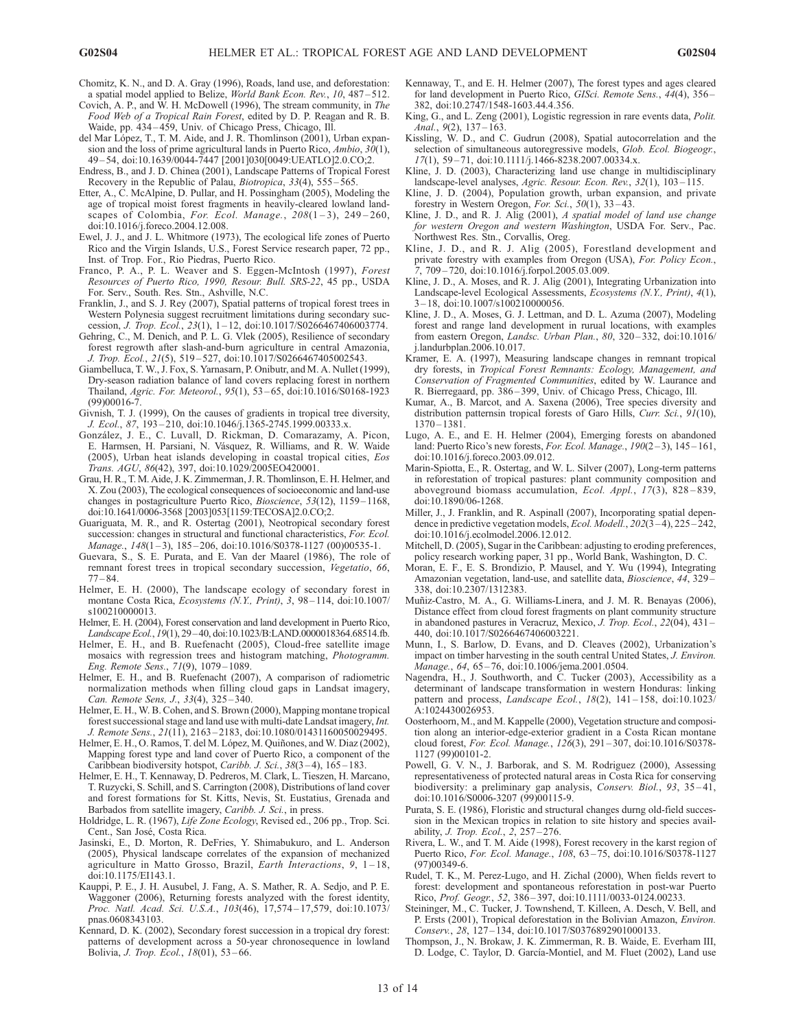- Chomitz, K. N., and D. A. Gray (1996), Roads, land use, and deforestation: a spatial model applied to Belize, World Bank Econ. Rev., 10, 487 – 512.
- Covich, A. P., and  $\hat{W}$ . H. McDowell (1996), The stream community, in *The* Food Web of a Tropical Rain Forest, edited by D. P. Reagan and R. B. Waide, pp. 434 – 459, Univ. of Chicago Press, Chicago, Ill.
- del Mar López, T., T. M. Aide, and J. R. Thomlinson (2001), Urban expansion and the loss of prime agricultural lands in Puerto Rico, Ambio, 30(1), 49 – 54, doi:10.1639/0044-7447 [2001]030[0049:UEATLO]2.0.CO;2.
- Endress, B., and J. D. Chinea (2001), Landscape Patterns of Tropical Forest Recovery in the Republic of Palau, Biotropica, 33(4), 555 – 565.
- Etter, A., C. McAlpine, D. Pullar, and H. Possingham (2005), Modeling the age of tropical moist forest fragments in heavily-cleared lowland landscapes of Colombia, For. Ecol. Manage.,  $208(1-3)$ ,  $249-260$ , doi:10.1016/j.foreco.2004.12.008.
- Ewel, J. J., and J. L. Whitmore (1973), The ecological life zones of Puerto Rico and the Virgin Islands, U.S., Forest Service research paper, 72 pp., Inst. of Trop. For., Rio Piedras, Puerto Rico.
- Franco, P. A., P. L. Weaver and S. Eggen-McIntosh (1997), Forest Resources of Puerto Rico, 1990, Resour. Bull. SRS-22, 45 pp., USDA For. Serv., South. Res. Stn., Ashville, N.C.
- Franklin, J., and S. J. Rey (2007), Spatial patterns of tropical forest trees in Western Polynesia suggest recruitment limitations during secondary succession, J. Trop. Ecol., 23(1), 1 – 12, doi:10.1017/S0266467406003774.
- Gehring, C., M. Denich, and P. L. G. Vlek (2005), Resilience of secondary forest regrowth after slash-and-burn agriculture in central Amazonia, J. Trop. Ecol., 21(5), 519 – 527, doi:10.1017/S0266467405002543.
- Giambelluca, T. W., J. Fox, S. Yarnasarn, P. Onibutr, and M. A. Nullet (1999), Dry-season radiation balance of land covers replacing forest in northern Thailand, Agric. For. Meteorol., 95(1), 53 – 65, doi:10.1016/S0168-1923 (99)00016-7.
- Givnish, T. J. (1999), On the causes of gradients in tropical tree diversity, J. Ecol., 87, 193-210, doi:10.1046/j.1365-2745.1999.00333.x.
- González, J. E., C. Luvall, D. Rickman, D. Comarazamy, A. Picon, E. Harmsen, H. Parsiani, N. Vásquez, R. Williams, and R. W. Waide (2005), Urban heat islands developing in coastal tropical cities, Eos Trans. AGU, 86(42), 397, doi:10.1029/2005EO420001.
- Grau, H. R., T. M. Aide, J. K. Zimmerman, J. R. Thomlinson, E. H. Helmer, and X. Zou (2003), The ecological consequences of socioeconomic and land-use changes in postagriculture Puerto Rico, Bioscience, 53(12), 1159-1168, doi:10.1641/0006-3568 [2003]053[1159:TECOSA]2.0.CO;2.
- Guariguata, M. R., and R. Ostertag (2001), Neotropical secondary forest succession: changes in structural and functional characteristics, For. Ecol.  $Manage, 148(1–3), 185–206, doi:10.1016/S0378-1127 (00)00535-1.$
- Guevara, S., S. E. Purata, and E. Van der Maarel (1986), The role of remnant forest trees in tropical secondary succession, Vegetatio, 66,  $77 - 84.$
- Helmer, E. H. (2000), The landscape ecology of secondary forest in montane Costa Rica, Ecosystems (N.Y., Print), 3, 98-114, doi:10.1007/ s100210000013.
- Helmer, E. H. (2004), Forest conservation and land development in Puerto Rico, Landscape Ecol., 19(1), 29–40, doi:10.1023/B:LAND.0000018364.68514.fb.
- Helmer, E. H., and B. Ruefenacht (2005), Cloud-free satellite image mosaics with regression trees and histogram matching, Photogramm. Eng. Remote Sens., 71(9), 1079 – 1089.
- Helmer, E. H., and B. Ruefenacht (2007), A comparison of radiometric normalization methods when filling cloud gaps in Landsat imagery, Can. Remote Sens, J., 33(4), 325 – 340.
- Helmer, E. H., W. B. Cohen, and S. Brown (2000), Mapping montane tropical forest successional stage and land use with multi-date Landsat imagery, Int. J. Remote Sens., 21(11), 2163 – 2183, doi:10.1080/01431160050029495.
- Helmer, E. H., O. Ramos, T. del M. López, M. Quiñones, and W. Diaz (2002), Mapping forest type and land cover of Puerto Rico, a component of the Caribbean biodiversity hotspot, Caribb. J. Sci.,  $38(3-4)$ ,  $165-183$ .
- Helmer, E. H., T. Kennaway, D. Pedreros, M. Clark, L. Tieszen, H. Marcano, T. Ruzycki, S. Schill, and S. Carrington (2008), Distributions of land cover and forest formations for St. Kitts, Nevis, St. Eustatius, Grenada and Barbados from satellite imagery, Caribb. J. Sci., in press.
- Holdridge, L. R. (1967), Life Zone Ecology, Revised ed., 206 pp., Trop. Sci. Cent., San José, Costa Rica.
- Jasinski, E., D. Morton, R. DeFries, Y. Shimabukuro, and L. Anderson (2005), Physical landscape correlates of the expansion of mechanized agriculture in Matto Grosso, Brazil, Earth Interactions, 9, 1-18, doi:10.1175/EI143.1.
- Kauppi, P. E., J. H. Ausubel, J. Fang, A. S. Mather, R. A. Sedjo, and P. E. Waggoner (2006), Returning forests analyzed with the forest identity, Proc. Natl. Acad. Sci. U.S.A., 103(46), 17,574-17,579, doi:10.1073/ pnas.0608343103.
- Kennard, D. K. (2002), Secondary forest succession in a tropical dry forest: patterns of development across a 50-year chronosequence in lowland Bolivia, J. Trop. Ecol., 18(01), 53 – 66.
- Kennaway, T., and E. H. Helmer (2007), The forest types and ages cleared for land development in Puerto Rico, GISci. Remote Sens., 44(4), 356 – 382, doi:10.2747/1548-1603.44.4.356.
- King, G., and L. Zeng (2001), Logistic regression in rare events data, *Polit.* Anal.,  $9(2)$ ,  $137 - 163$ .
- Kissling, W. D., and C. Gudrun (2008), Spatial autocorrelation and the selection of simultaneous autoregressive models, Glob. Ecol. Biogeogr., 17(1), 59 – 71, doi:10.1111/j.1466-8238.2007.00334.x.
- Kline, J. D. (2003), Characterizing land use change in multidisciplinary landscape-level analyses, Agric. Resour. Econ. Rev., 32(1), 103-115.
- Kline, J. D. (2004), Population growth, urban expansion, and private forestry in Western Oregon, For. Sci.,  $50(1)$ ,  $33-43$ .
- Kline, J. D., and R. J. Alig (2001), A spatial model of land use change for western Oregon and western Washington, USDA For. Serv., Pac. Northwest Res. Stn., Corvallis, Oreg.
- Kline, J. D., and R. J. Alig (2005), Forestland development and private forestry with examples from Oregon (USA), For. Policy Econ., 7, 709 – 720, doi:10.1016/j.forpol.2005.03.009.
- Kline, J. D., A. Moses, and R. J. Alig (2001), Integrating Urbanization into Landscape-level Ecological Assessments, Ecosystems (N.Y., Print), 4(1), 3 – 18, doi:10.1007/s100210000056.
- Kline, J. D., A. Moses, G. J. Lettman, and D. L. Azuma (2007), Modeling forest and range land development in rurual locations, with examples from eastern Oregon, Landsc. Urban Plan., 80, 320-332, doi:10.1016/ j.landurbplan.2006.10.017.
- Kramer, E. A. (1997), Measuring landscape changes in remnant tropical dry forests, in Tropical Forest Remnants: Ecology, Management, and Conservation of Fragmented Communities, edited by W. Laurance and R. Bierregaard, pp. 386 – 399, Univ. of Chicago Press, Chicago, Ill.
- Kumar, A., B. Marcot, and A. Saxena (2006), Tree species diversity and distribution patternsin tropical forests of Garo Hills, Curr. Sci., 91(10), 1370 – 1381.
- Lugo, A. E., and E. H. Helmer (2004), Emerging forests on abandoned land: Puerto Rico's new forests, For. Ecol. Manage., 190(2-3), 145-161, doi:10.1016/j.foreco.2003.09.012.
- Marin-Spiotta, E., R. Ostertag, and W. L. Silver (2007), Long-term patterns in reforestation of tropical pastures: plant community composition and aboveground biomass accumulation, Ecol. Appl., 17(3), 828 – 839, doi:10.1890/06-1268.
- Miller, J., J. Franklin, and R. Aspinall (2007), Incorporating spatial dependence in predictive vegetation models, *Ecol. Modell.*, 202(3-4), 225-242, doi:10.1016/j.ecolmodel.2006.12.012.
- Mitchell, D. (2005), Sugar in the Caribbean: adjusting to eroding preferences, policy research working paper, 31 pp., World Bank, Washington, D. C.
- Moran, E. F., E. S. Brondizio, P. Mausel, and Y. Wu (1994), Integrating Amazonian vegetation, land-use, and satellite data, Bioscience, 44, 329-338, doi:10.2307/1312383.
- Muñiz-Castro, M. A., G. Williams-Linera, and J. M. R. Benayas (2006), Distance effect from cloud forest fragments on plant community structure in abandoned pastures in Veracruz, Mexico, J. Trop. Ecol., 22(04), 431 – 440, doi:10.1017/S0266467406003221.
- Munn, I., S. Barlow, D. Evans, and D. Cleaves (2002), Urbanization's impact on timber harvesting in the south central United States, J. Environ. Manage., 64, 65-76, doi:10.1006/jema.2001.0504.
- Nagendra, H., J. Southworth, and C. Tucker (2003), Accessibility as a determinant of landscape transformation in western Honduras: linking pattern and process, Landscape Ecol.,  $18(2)$ ,  $141-158$ , doi:10.1023/ A:1024430026953.
- Oosterhoorn, M., and M. Kappelle (2000), Vegetation structure and composition along an interior-edge-exterior gradient in a Costa Rican montane cloud forest, For. Ecol. Manage., 126(3), 291 – 307, doi:10.1016/S0378- 1127 (99)00101-2.
- Powell, G. V. N., J. Barborak, and S. M. Rodriguez (2000), Assessing representativeness of protected natural areas in Costa Rica for conserving biodiversity: a preliminary gap analysis, Conserv. Biol., 93, 35-41, doi:10.1016/S0006-3207 (99)00115-9.
- Purata, S. E. (1986), Floristic and structural changes durng old-field succession in the Mexican tropics in relation to site history and species availability, *J. Trop. Ecol.*,  $2, 257 - 276$ .
- Rivera, L. W., and T. M. Aide (1998), Forest recovery in the karst region of Puerto Rico, For. Ecol. Manage., 108, 63 – 75, doi:10.1016/S0378-1127 (97)00349-6.
- Rudel, T. K., M. Perez-Lugo, and H. Zichal (2000), When fields revert to forest: development and spontaneous reforestation in post-war Puerto Rico, *Prof. Geogr.*, 52, 386-397, doi:10.1111/0033-0124.00233.
- Steininger, M., C. Tucker, J. Townshend, T. Killeen, A. Desch, V. Bell, and P. Ersts (2001), Tropical deforestation in the Bolivian Amazon, Environ. Conserv., 28, 127 – 134, doi:10.1017/S0376892901000133.
- Thompson, J., N. Brokaw, J. K. Zimmerman, R. B. Waide, E. Everham III, D. Lodge, C. Taylor, D. García-Montiel, and M. Fluet (2002), Land use